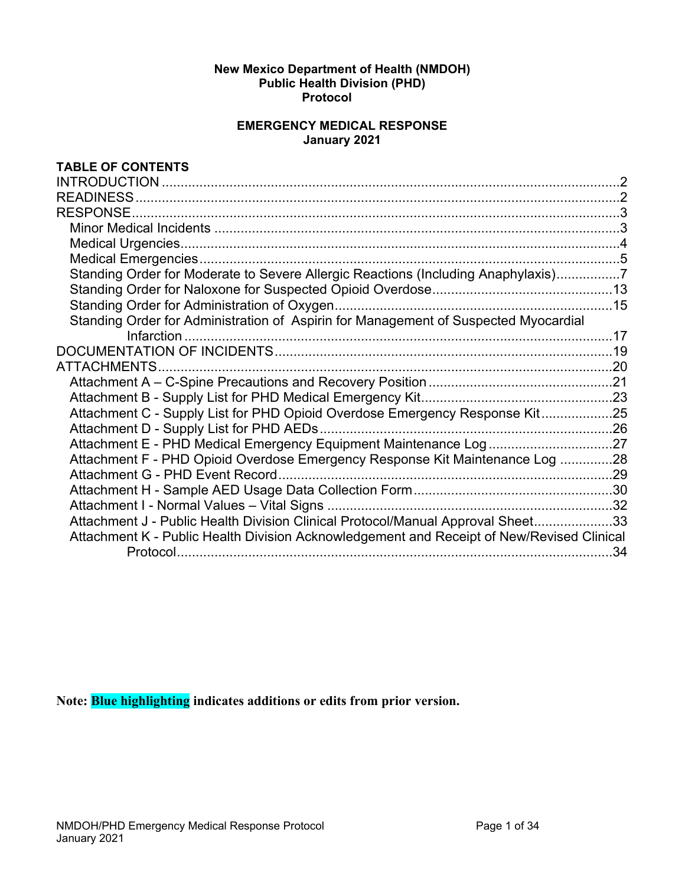#### **New Mexico Department of Health (NMDOH) Public Health Division (PHD) Protocol**

### **EMERGENCY MEDICAL RESPONSE January 2021**

### **TABLE OF CONTENTS**

|                                                                                           | $\mathcal{P}$ |
|-------------------------------------------------------------------------------------------|---------------|
| <b>READINESS</b>                                                                          |               |
|                                                                                           |               |
|                                                                                           |               |
|                                                                                           |               |
|                                                                                           |               |
| Standing Order for Moderate to Severe Allergic Reactions (Including Anaphylaxis)7         |               |
|                                                                                           |               |
|                                                                                           |               |
| Standing Order for Administration of Aspirin for Management of Suspected Myocardial       |               |
|                                                                                           |               |
|                                                                                           |               |
| ATTACHMENTS                                                                               |               |
|                                                                                           |               |
|                                                                                           |               |
| Attachment C - Supply List for PHD Opioid Overdose Emergency Response Kit25               |               |
|                                                                                           |               |
| Attachment E - PHD Medical Emergency Equipment Maintenance Log27                          |               |
| Attachment F - PHD Opioid Overdose Emergency Response Kit Maintenance Log 28              |               |
|                                                                                           |               |
|                                                                                           |               |
|                                                                                           |               |
| Attachment J - Public Health Division Clinical Protocol/Manual Approval Sheet33           |               |
| Attachment K - Public Health Division Acknowledgement and Receipt of New/Revised Clinical |               |
|                                                                                           | -34           |
|                                                                                           |               |

**Note: Blue highlighting indicates additions or edits from prior version.**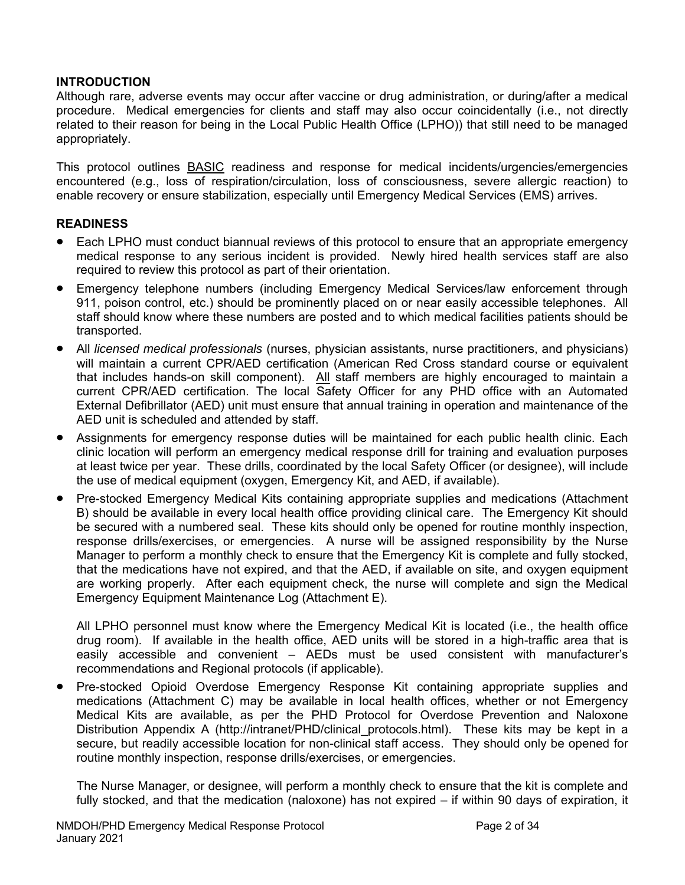### **INTRODUCTION**

Although rare, adverse events may occur after vaccine or drug administration, or during/after a medical procedure. Medical emergencies for clients and staff may also occur coincidentally (i.e., not directly related to their reason for being in the Local Public Health Office (LPHO)) that still need to be managed appropriately.

This protocol outlines BASIC readiness and response for medical incidents/urgencies/emergencies encountered (e.g., loss of respiration/circulation, loss of consciousness, severe allergic reaction) to enable recovery or ensure stabilization, especially until Emergency Medical Services (EMS) arrives.

### **READINESS**

- Each LPHO must conduct biannual reviews of this protocol to ensure that an appropriate emergency medical response to any serious incident is provided. Newly hired health services staff are also required to review this protocol as part of their orientation.
- Emergency telephone numbers (including Emergency Medical Services/law enforcement through 911, poison control, etc.) should be prominently placed on or near easily accessible telephones. All staff should know where these numbers are posted and to which medical facilities patients should be transported.
- All *licensed medical professionals* (nurses, physician assistants, nurse practitioners, and physicians) will maintain a current CPR/AED certification (American Red Cross standard course or equivalent that includes hands-on skill component). All staff members are highly encouraged to maintain a current CPR/AED certification. The local Safety Officer for any PHD office with an Automated External Defibrillator (AED) unit must ensure that annual training in operation and maintenance of the AED unit is scheduled and attended by staff.
- Assignments for emergency response duties will be maintained for each public health clinic. Each clinic location will perform an emergency medical response drill for training and evaluation purposes at least twice per year. These drills, coordinated by the local Safety Officer (or designee), will include the use of medical equipment (oxygen, Emergency Kit, and AED, if available).
- Pre-stocked Emergency Medical Kits containing appropriate supplies and medications (Attachment B) should be available in every local health office providing clinical care. The Emergency Kit should be secured with a numbered seal. These kits should only be opened for routine monthly inspection, response drills/exercises, or emergencies. A nurse will be assigned responsibility by the Nurse Manager to perform a monthly check to ensure that the Emergency Kit is complete and fully stocked, that the medications have not expired, and that the AED, if available on site, and oxygen equipment are working properly. After each equipment check, the nurse will complete and sign the Medical Emergency Equipment Maintenance Log (Attachment E).

All LPHO personnel must know where the Emergency Medical Kit is located (i.e., the health office drug room). If available in the health office, AED units will be stored in a high-traffic area that is easily accessible and convenient – AEDs must be used consistent with manufacturer's recommendations and Regional protocols (if applicable).

 Pre-stocked Opioid Overdose Emergency Response Kit containing appropriate supplies and medications (Attachment C) may be available in local health offices, whether or not Emergency Medical Kits are available, as per the PHD Protocol for Overdose Prevention and Naloxone Distribution Appendix A (http://intranet/PHD/clinical protocols.html). These kits may be kept in a secure, but readily accessible location for non-clinical staff access. They should only be opened for routine monthly inspection, response drills/exercises, or emergencies.

The Nurse Manager, or designee, will perform a monthly check to ensure that the kit is complete and fully stocked, and that the medication (naloxone) has not expired – if within 90 days of expiration, it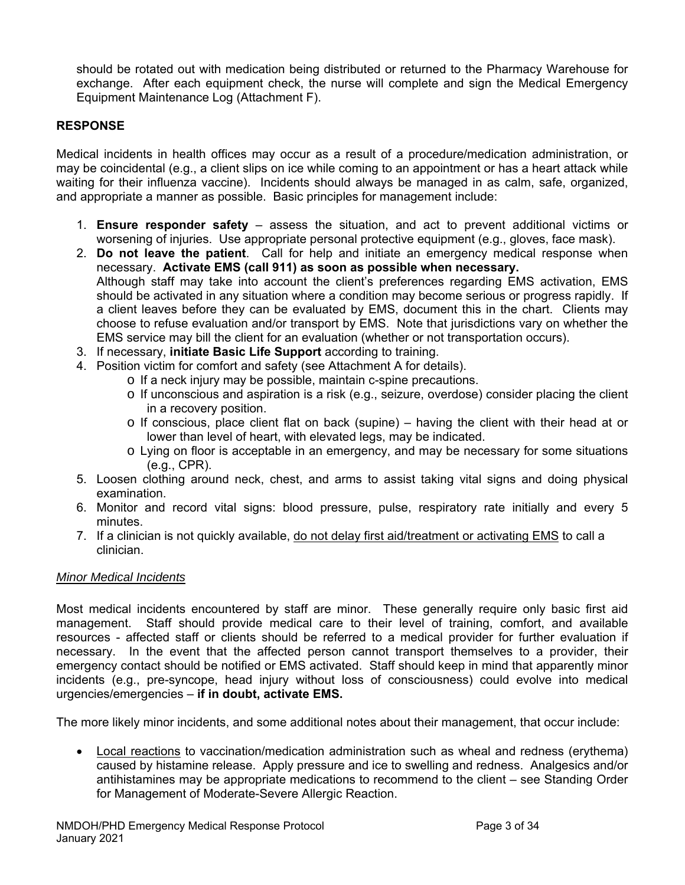should be rotated out with medication being distributed or returned to the Pharmacy Warehouse for exchange. After each equipment check, the nurse will complete and sign the Medical Emergency Equipment Maintenance Log (Attachment F).

### **RESPONSE**

Medical incidents in health offices may occur as a result of a procedure/medication administration, or may be coincidental (e.g., a client slips on ice while coming to an appointment or has a heart attack while waiting for their influenza vaccine). Incidents should always be managed in as calm, safe, organized, and appropriate a manner as possible. Basic principles for management include:

- 1. **Ensure responder safety**  assess the situation, and act to prevent additional victims or worsening of injuries. Use appropriate personal protective equipment (e.g., gloves, face mask).
- 2. **Do not leave the patient**. Call for help and initiate an emergency medical response when necessary. **Activate EMS (call 911) as soon as possible when necessary.**  Although staff may take into account the client's preferences regarding EMS activation, EMS should be activated in any situation where a condition may become serious or progress rapidly. If a client leaves before they can be evaluated by EMS, document this in the chart. Clients may choose to refuse evaluation and/or transport by EMS. Note that jurisdictions vary on whether the EMS service may bill the client for an evaluation (whether or not transportation occurs).
- 3. If necessary, **initiate Basic Life Support** according to training.
- 4. Position victim for comfort and safety (see Attachment A for details).
	- o If a neck injury may be possible, maintain c-spine precautions.
		- o If unconscious and aspiration is a risk (e.g., seizure, overdose) consider placing the client in a recovery position.
		- $\circ$  If conscious, place client flat on back (supine) having the client with their head at or lower than level of heart, with elevated legs, may be indicated.
		- o Lying on floor is acceptable in an emergency, and may be necessary for some situations (e.g., CPR).
- 5. Loosen clothing around neck, chest, and arms to assist taking vital signs and doing physical examination.
- 6. Monitor and record vital signs: blood pressure, pulse, respiratory rate initially and every 5 minutes.
- 7. If a clinician is not quickly available, do not delay first aid/treatment or activating EMS to call a clinician.

#### *Minor Medical Incidents*

Most medical incidents encountered by staff are minor. These generally require only basic first aid management. Staff should provide medical care to their level of training, comfort, and available resources - affected staff or clients should be referred to a medical provider for further evaluation if necessary. In the event that the affected person cannot transport themselves to a provider, their emergency contact should be notified or EMS activated. Staff should keep in mind that apparently minor incidents (e.g., pre-syncope, head injury without loss of consciousness) could evolve into medical urgencies/emergencies – **if in doubt, activate EMS.**

The more likely minor incidents, and some additional notes about their management, that occur include:

 Local reactions to vaccination/medication administration such as wheal and redness (erythema) caused by histamine release. Apply pressure and ice to swelling and redness. Analgesics and/or antihistamines may be appropriate medications to recommend to the client – see Standing Order for Management of Moderate-Severe Allergic Reaction.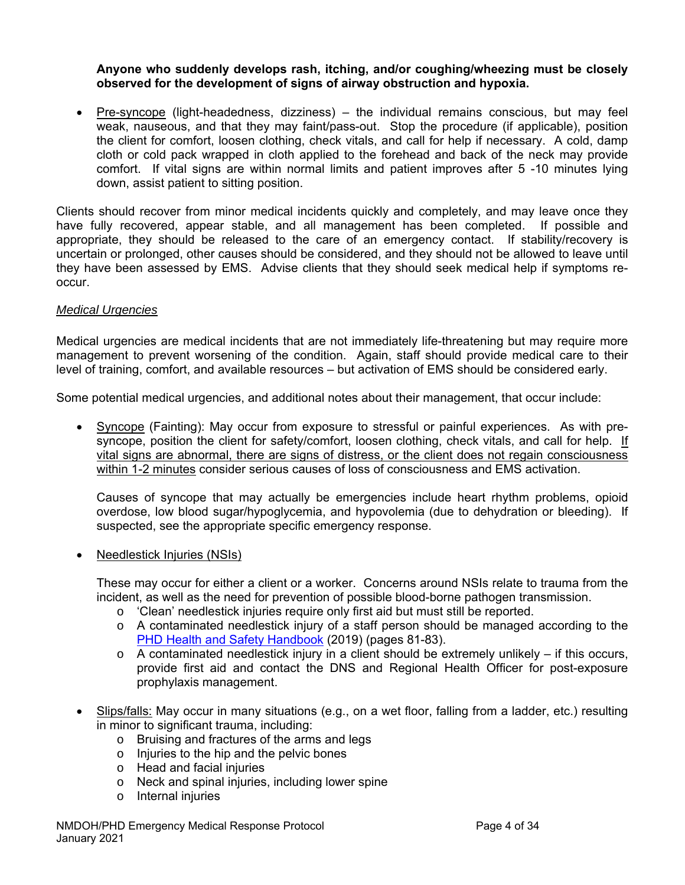### **Anyone who suddenly develops rash, itching, and/or coughing/wheezing must be closely observed for the development of signs of airway obstruction and hypoxia.**

 Pre-syncope (light-headedness, dizziness) – the individual remains conscious, but may feel weak, nauseous, and that they may faint/pass-out. Stop the procedure (if applicable), position the client for comfort, loosen clothing, check vitals, and call for help if necessary. A cold, damp cloth or cold pack wrapped in cloth applied to the forehead and back of the neck may provide comfort. If vital signs are within normal limits and patient improves after 5 -10 minutes lying down, assist patient to sitting position.

Clients should recover from minor medical incidents quickly and completely, and may leave once they have fully recovered, appear stable, and all management has been completed. If possible and appropriate, they should be released to the care of an emergency contact. If stability/recovery is uncertain or prolonged, other causes should be considered, and they should not be allowed to leave until they have been assessed by EMS. Advise clients that they should seek medical help if symptoms reoccur.

### *Medical Urgencies*

Medical urgencies are medical incidents that are not immediately life-threatening but may require more management to prevent worsening of the condition. Again, staff should provide medical care to their level of training, comfort, and available resources – but activation of EMS should be considered early.

Some potential medical urgencies, and additional notes about their management, that occur include:

 Syncope (Fainting): May occur from exposure to stressful or painful experiences. As with presyncope, position the client for safety/comfort, loosen clothing, check vitals, and call for help. If vital signs are abnormal, there are signs of distress, or the client does not regain consciousness within 1-2 minutes consider serious causes of loss of consciousness and EMS activation.

Causes of syncope that may actually be emergencies include heart rhythm problems, opioid overdose, low blood sugar/hypoglycemia, and hypovolemia (due to dehydration or bleeding). If suspected, see the appropriate specific emergency response.

Needlestick Injuries (NSIs)

These may occur for either a client or a worker. Concerns around NSIs relate to trauma from the incident, as well as the need for prevention of possible blood-borne pathogen transmission.

- o 'Clean' needlestick injuries require only first aid but must still be reported.
- $\circ$  A contaminated needlestick injury of a staff person should be managed according to the PHD Health and Safety Handbook (2019) (pages 81-83).
- $\circ$  A contaminated needlestick injury in a client should be extremely unlikely if this occurs, provide first aid and contact the DNS and Regional Health Officer for post-exposure prophylaxis management.
- Slips/falls: May occur in many situations (e.g., on a wet floor, falling from a ladder, etc.) resulting in minor to significant trauma, including:
	- o Bruising and fractures of the arms and legs
	- o Injuries to the hip and the pelvic bones
	- o Head and facial injuries
	- o Neck and spinal injuries, including lower spine
	- o Internal injuries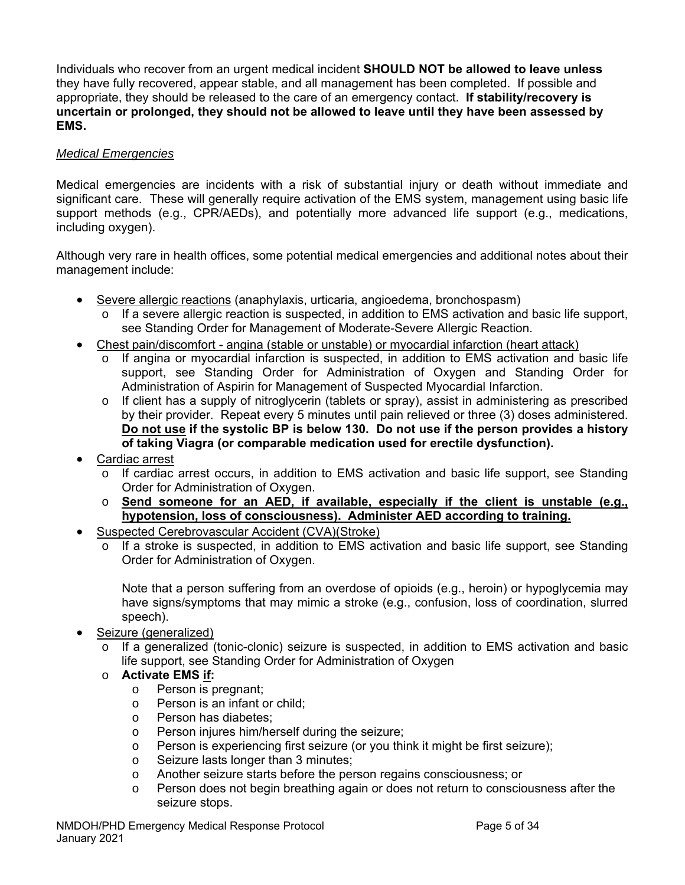Individuals who recover from an urgent medical incident **SHOULD NOT be allowed to leave unless**  they have fully recovered, appear stable, and all management has been completed. If possible and appropriate, they should be released to the care of an emergency contact. **If stability/recovery is uncertain or prolonged, they should not be allowed to leave until they have been assessed by EMS.** 

### *Medical Emergencies*

Medical emergencies are incidents with a risk of substantial injury or death without immediate and significant care. These will generally require activation of the EMS system, management using basic life support methods (e.g., CPR/AEDs), and potentially more advanced life support (e.g., medications, including oxygen).

Although very rare in health offices, some potential medical emergencies and additional notes about their management include:

- Severe allergic reactions (anaphylaxis, urticaria, angioedema, bronchospasm)
	- o If a severe allergic reaction is suspected, in addition to EMS activation and basic life support, see Standing Order for Management of Moderate-Severe Allergic Reaction.
- Chest pain/discomfort angina (stable or unstable) or myocardial infarction (heart attack)
	- o If angina or myocardial infarction is suspected, in addition to EMS activation and basic life support, see Standing Order for Administration of Oxygen and Standing Order for Administration of Aspirin for Management of Suspected Myocardial Infarction.
	- $\circ$  If client has a supply of nitroglycerin (tablets or spray), assist in administering as prescribed by their provider. Repeat every 5 minutes until pain relieved or three (3) doses administered. **Do not use if the systolic BP is below 130. Do not use if the person provides a history of taking Viagra (or comparable medication used for erectile dysfunction).**
- Cardiac arrest
	- o If cardiac arrest occurs, in addition to EMS activation and basic life support, see Standing Order for Administration of Oxygen.
	- o **Send someone for an AED, if available, especially if the client is unstable (e.g., hypotension, loss of consciousness). Administer AED according to training.**
- Suspected Cerebrovascular Accident (CVA)(Stroke)
	- o If a stroke is suspected, in addition to EMS activation and basic life support, see Standing Order for Administration of Oxygen.

Note that a person suffering from an overdose of opioids (e.g., heroin) or hypoglycemia may have signs/symptoms that may mimic a stroke (e.g., confusion, loss of coordination, slurred speech).

- Seizure (generalized)
	- o If a generalized (tonic-clonic) seizure is suspected, in addition to EMS activation and basic life support, see Standing Order for Administration of Oxygen

### o **Activate EMS if:**

- o Person is pregnant;
- o Person is an infant or child;
- o Person has diabetes;
- o Person injures him/herself during the seizure;
- o Person is experiencing first seizure (or you think it might be first seizure);
- o Seizure lasts longer than 3 minutes;
- o Another seizure starts before the person regains consciousness; or
- o Person does not begin breathing again or does not return to consciousness after the seizure stops.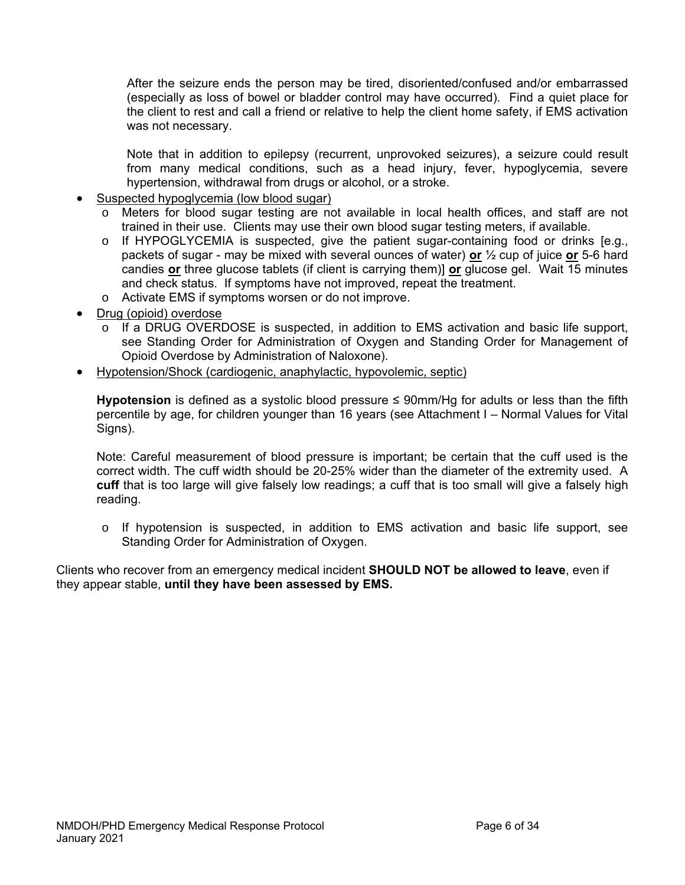After the seizure ends the person may be tired, disoriented/confused and/or embarrassed (especially as loss of bowel or bladder control may have occurred). Find a quiet place for the client to rest and call a friend or relative to help the client home safety, if EMS activation was not necessary.

Note that in addition to epilepsy (recurrent, unprovoked seizures), a seizure could result from many medical conditions, such as a head injury, fever, hypoglycemia, severe hypertension, withdrawal from drugs or alcohol, or a stroke.

- Suspected hypoglycemia (low blood sugar)
	- o Meters for blood sugar testing are not available in local health offices, and staff are not trained in their use. Clients may use their own blood sugar testing meters, if available.
	- $\circ$  If HYPOGLYCEMIA is suspected, give the patient sugar-containing food or drinks [e.g., packets of sugar - may be mixed with several ounces of water) **or** ½ cup of juice **or** 5-6 hard candies **or** three glucose tablets (if client is carrying them)] **or** glucose gel. Wait 15 minutes and check status. If symptoms have not improved, repeat the treatment.
	- o Activate EMS if symptoms worsen or do not improve.
- Drug (opioid) overdose
	- If a DRUG OVERDOSE is suspected, in addition to EMS activation and basic life support, see Standing Order for Administration of Oxygen and Standing Order for Management of Opioid Overdose by Administration of Naloxone).
- Hypotension/Shock (cardiogenic, anaphylactic, hypovolemic, septic)

**Hypotension** is defined as a systolic blood pressure ≤ 90mm/Hg for adults or less than the fifth percentile by age, for children younger than 16 years (see Attachment I – Normal Values for Vital Signs).

Note: Careful measurement of blood pressure is important; be certain that the cuff used is the correct width. The cuff width should be 20-25% wider than the diameter of the extremity used. A **cuff** that is too large will give falsely low readings; a cuff that is too small will give a falsely high reading.

o If hypotension is suspected, in addition to EMS activation and basic life support, see Standing Order for Administration of Oxygen.

Clients who recover from an emergency medical incident **SHOULD NOT be allowed to leave**, even if they appear stable, **until they have been assessed by EMS.**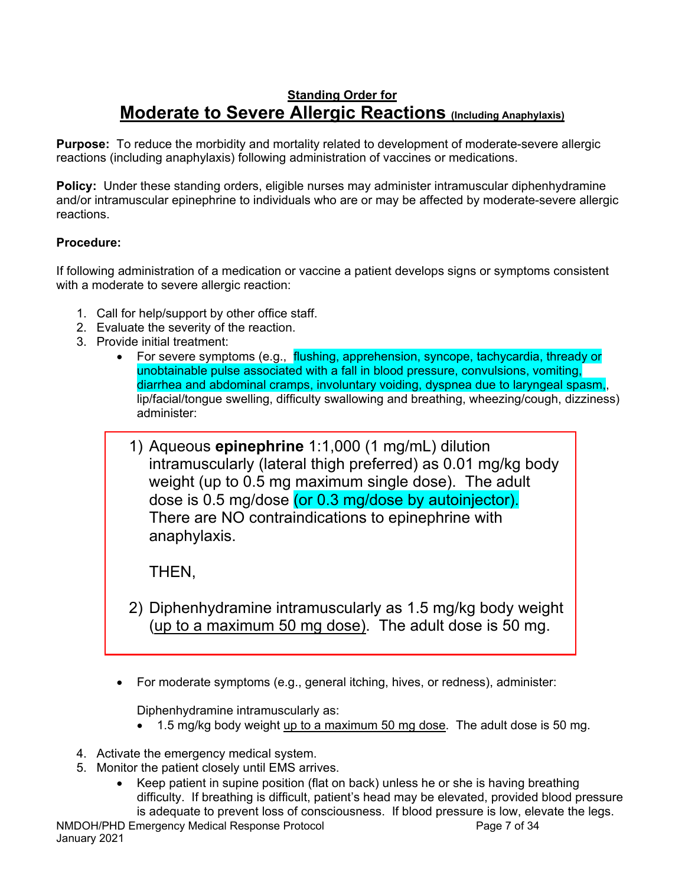## **Standing Order for Moderate to Severe Allergic Reactions (Including Anaphylaxis)**

**Purpose:** To reduce the morbidity and mortality related to development of moderate-severe allergic reactions (including anaphylaxis) following administration of vaccines or medications.

**Policy:** Under these standing orders, eligible nurses may administer intramuscular diphenhydramine and/or intramuscular epinephrine to individuals who are or may be affected by moderate-severe allergic reactions.

### **Procedure:**

If following administration of a medication or vaccine a patient develops signs or symptoms consistent with a moderate to severe allergic reaction:

- 1. Call for help/support by other office staff.
- 2. Evaluate the severity of the reaction.
- 3. Provide initial treatment:
	- For severe symptoms (e.g., flushing, apprehension, syncope, tachycardia, thready or unobtainable pulse associated with a fall in blood pressure, convulsions, vomiting, diarrhea and abdominal cramps, involuntary voiding, dyspnea due to laryngeal spasm,, lip/facial/tongue swelling, difficulty swallowing and breathing, wheezing/cough, dizziness) administer:
		- 1) Aqueous **epinephrine** 1:1,000 (1 mg/mL) dilution intramuscularly (lateral thigh preferred) as 0.01 mg/kg body weight (up to 0.5 mg maximum single dose). The adult dose is 0.5 mg/dose (or 0.3 mg/dose by autoinjector). There are NO contraindications to epinephrine with anaphylaxis.

THEN,

- 2) Diphenhydramine intramuscularly as 1.5 mg/kg body weight (up to a maximum 50 mg dose). The adult dose is 50 mg.
- For moderate symptoms (e.g., general itching, hives, or redness), administer:

Diphenhydramine intramuscularly as:

- 1.5 mg/kg body weight up to a maximum 50 mg dose. The adult dose is 50 mg.
- 4. Activate the emergency medical system.
- 5. Monitor the patient closely until EMS arrives.
	- Keep patient in supine position (flat on back) unless he or she is having breathing difficulty. If breathing is difficult, patient's head may be elevated, provided blood pressure is adequate to prevent loss of consciousness. If blood pressure is low, elevate the legs.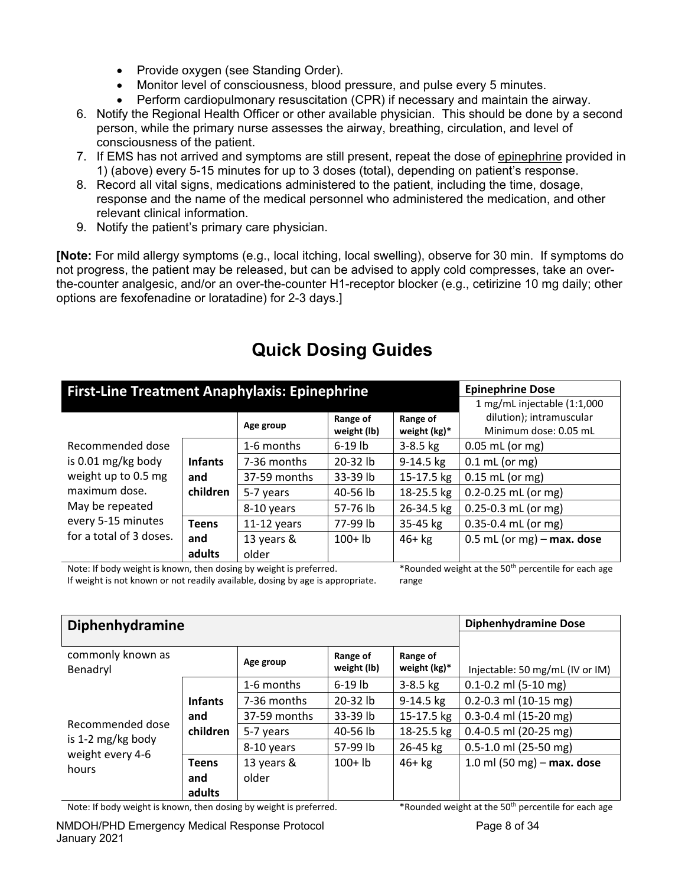- Provide oxygen (see Standing Order).
- Monitor level of consciousness, blood pressure, and pulse every 5 minutes.
- Perform cardiopulmonary resuscitation (CPR) if necessary and maintain the airway.
- 6. Notify the Regional Health Officer or other available physician. This should be done by a second person, while the primary nurse assesses the airway, breathing, circulation, and level of consciousness of the patient.
- 7. If EMS has not arrived and symptoms are still present, repeat the dose of epinephrine provided in 1) (above) every 5-15 minutes for up to 3 doses (total), depending on patient's response.
- 8. Record all vital signs, medications administered to the patient, including the time, dosage, response and the name of the medical personnel who administered the medication, and other relevant clinical information.
- 9. Notify the patient's primary care physician.

**[Note:** For mild allergy symptoms (e.g., local itching, local swelling), observe for 30 min. If symptoms do not progress, the patient may be released, but can be advised to apply cold compresses, take an overthe-counter analgesic, and/or an over-the-counter H1-receptor blocker (e.g., cetirizine 10 mg daily; other options are fexofenadine or loratadine) for 2-3 days.]

| <b>Epinephrine Dose</b><br><b>First-Line Treatment Anaphylaxis: Epinephrine</b> |                |               |             |              |                              |  |  |  |
|---------------------------------------------------------------------------------|----------------|---------------|-------------|--------------|------------------------------|--|--|--|
|                                                                                 |                |               |             |              |                              |  |  |  |
|                                                                                 |                |               | Range of    | Range of     | dilution); intramuscular     |  |  |  |
|                                                                                 |                | Age group     | weight (lb) | weight (kg)* | Minimum dose: 0.05 mL        |  |  |  |
| Recommended dose                                                                |                | 1-6 months    | $6-19$ lb   | $3-8.5$ kg   | $0.05$ mL (or mg)            |  |  |  |
| is 0.01 mg/kg body                                                              | <b>Infants</b> | 7-36 months   | $20-32$ lb  | $9-14.5$ kg  | $0.1$ mL (or mg)             |  |  |  |
| weight up to 0.5 mg                                                             | and            | 37-59 months  | 33-39 lb    | 15-17.5 kg   | $0.15$ mL (or mg)            |  |  |  |
| maximum dose.                                                                   | children       | 5-7 years     | 40-56 lb    | 18-25.5 kg   | $0.2 - 0.25$ mL (or mg)      |  |  |  |
| May be repeated                                                                 |                | 8-10 years    | 57-76 lb    | 26-34.5 kg   | $0.25 - 0.3$ mL (or mg)      |  |  |  |
| every 5-15 minutes                                                              | <b>Teens</b>   | $11-12$ years | 77-99 lb    | 35-45 kg     | $0.35 - 0.4$ mL (or mg)      |  |  |  |
| for a total of 3 doses.                                                         | and            | 13 years &    | $100+1b$    | $46+kg$      | $0.5$ mL (or mg) – max. dose |  |  |  |
|                                                                                 | adults         | older         |             |              |                              |  |  |  |

# **Quick Dosing Guides**

Note: If body weight is known, then dosing by weight is preferred. If weight is not known or not readily available, dosing by age is appropriate. \*Rounded weight at the 50th percentile for each age range

| <b>Diphenhydramine</b>                | <b>Diphenhydramine Dose</b> |              |             |                 |                                 |
|---------------------------------------|-----------------------------|--------------|-------------|-----------------|---------------------------------|
|                                       |                             |              |             |                 |                                 |
| commonly known as                     |                             | Age group    | Range of    | Range of        |                                 |
| Benadryl                              |                             |              | weight (lb) | weight $(kg)^*$ | Injectable: 50 mg/mL (IV or IM) |
|                                       |                             | 1-6 months   | $6-19$ lb   | $3-8.5$ kg      | $0.1 - 0.2$ ml (5-10 mg)        |
|                                       | <b>Infants</b>              | 7-36 months  | $20-32$ lb  | $9-14.5$ kg     | $0.2 - 0.3$ ml (10-15 mg)       |
|                                       | and                         | 37-59 months | 33-39 lb    | 15-17.5 kg      | 0.3-0.4 ml (15-20 mg)           |
| Recommended dose                      | children                    | 5-7 years    | 40-56 lb    | 18-25.5 kg      | $0.4 - 0.5$ ml (20-25 mg)       |
| is 1-2 mg/kg body<br>weight every 4-6 |                             | 8-10 years   | 57-99 lb    | 26-45 kg        | $0.5 - 1.0$ ml (25-50 mg)       |
| hours                                 | <b>Teens</b>                | 13 years &   | $100+1b$    | $46+kg$         | 1.0 ml (50 mg) $-$ max. dose    |
|                                       | and                         | older        |             |                 |                                 |
|                                       | adults                      |              |             |                 |                                 |

Note: If body weight is known, then dosing by weight is preferred. \*\*\* Rounded weight at the 50<sup>th</sup> percentile for each age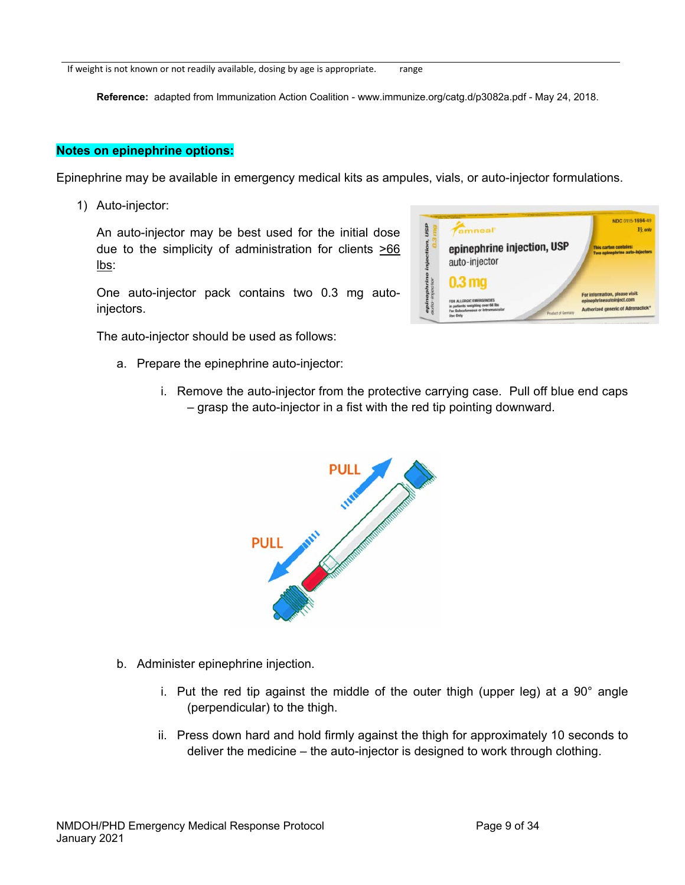If weight is not known or not readily available, dosing by age is appropriate. range

**Reference:** adapted from Immunization Action Coalition - www.immunize.org/catg.d/p3082a.pdf - May 24, 2018.

#### **Notes on epinephrine options:**

Epinephrine may be available in emergency medical kits as ampules, vials, or auto-injector formulations.

1) Auto-injector:

An auto-injector may be best used for the initial dose due to the simplicity of administration for clients  $\geq 66$ lbs:

One auto-injector pack contains two 0.3 mg autoinjectors.

The auto-injector should be used as follows:

- a. Prepare the epinephrine auto-injector:
	- i. Remove the auto-injector from the protective carrying case. Pull off blue end caps – grasp the auto-injector in a fist with the red tip pointing downward.



- b. Administer epinephrine injection.
	- i. Put the red tip against the middle of the outer thigh (upper leg) at a 90° angle (perpendicular) to the thigh.
	- ii. Press down hard and hold firmly against the thigh for approximately 10 seconds to deliver the medicine – the auto-injector is designed to work through clothing.

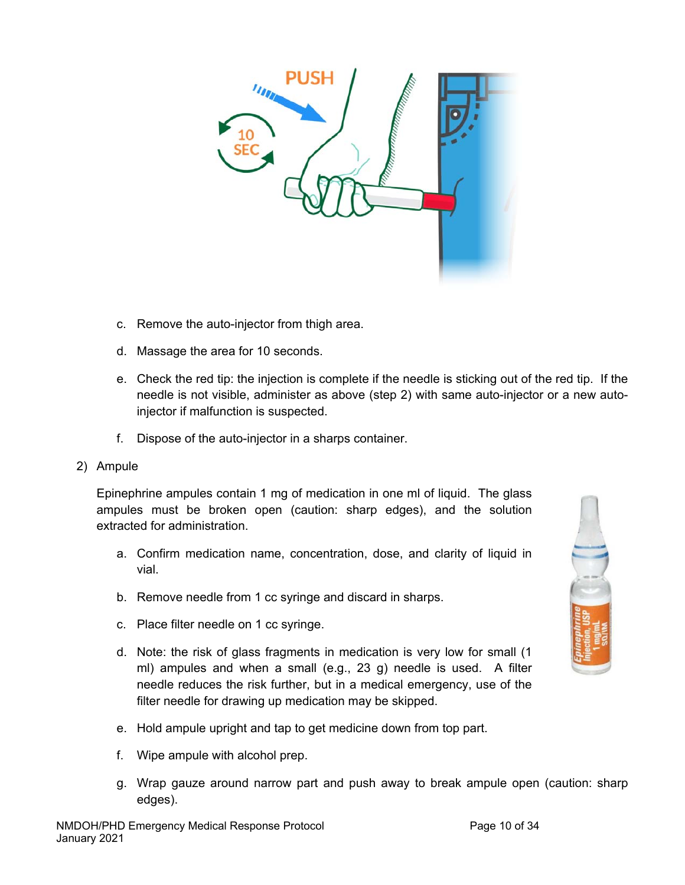

- c. Remove the auto-injector from thigh area.
- d. Massage the area for 10 seconds.
- e. Check the red tip: the injection is complete if the needle is sticking out of the red tip. If the needle is not visible, administer as above (step 2) with same auto-injector or a new autoinjector if malfunction is suspected.
- f. Dispose of the auto-injector in a sharps container.
- 2) Ampule

Epinephrine ampules contain 1 mg of medication in one ml of liquid. The glass ampules must be broken open (caution: sharp edges), and the solution extracted for administration.

- a. Confirm medication name, concentration, dose, and clarity of liquid in vial.
- b. Remove needle from 1 cc syringe and discard in sharps.
- c. Place filter needle on 1 cc syringe.
- d. Note: the risk of glass fragments in medication is very low for small (1 ml) ampules and when a small (e.g., 23 g) needle is used. A filter needle reduces the risk further, but in a medical emergency, use of the filter needle for drawing up medication may be skipped.
- e. Hold ampule upright and tap to get medicine down from top part.
- f. Wipe ampule with alcohol prep.
- g. Wrap gauze around narrow part and push away to break ampule open (caution: sharp edges).

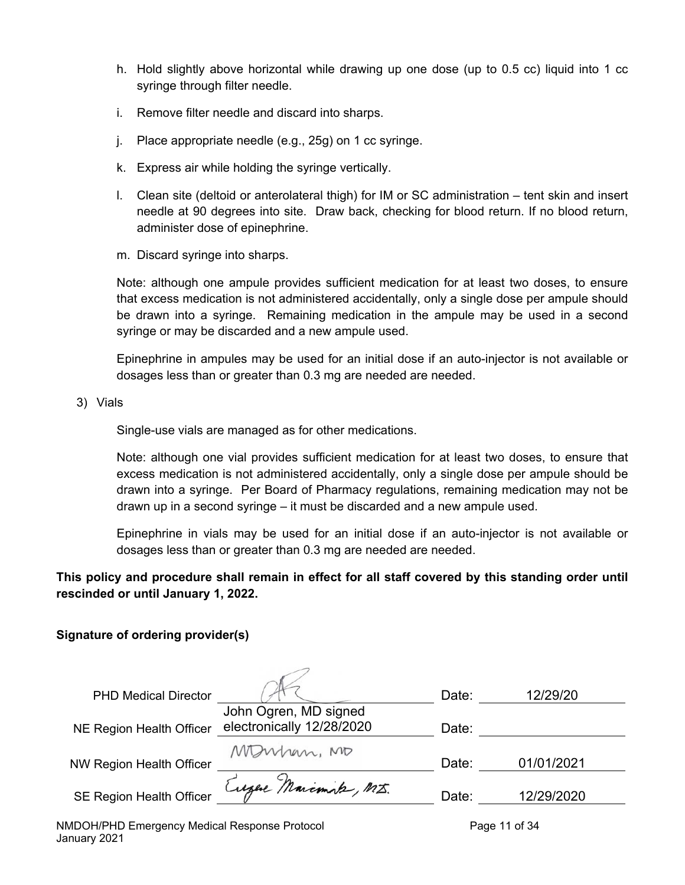- h. Hold slightly above horizontal while drawing up one dose (up to 0.5 cc) liquid into 1 cc syringe through filter needle.
- i. Remove filter needle and discard into sharps.
- j. Place appropriate needle (e.g., 25g) on 1 cc syringe.
- k. Express air while holding the syringe vertically.
- l. Clean site (deltoid or anterolateral thigh) for IM or SC administration tent skin and insert needle at 90 degrees into site. Draw back, checking for blood return. If no blood return, administer dose of epinephrine.
- m. Discard syringe into sharps.

Note: although one ampule provides sufficient medication for at least two doses, to ensure that excess medication is not administered accidentally, only a single dose per ampule should be drawn into a syringe. Remaining medication in the ampule may be used in a second syringe or may be discarded and a new ampule used.

Epinephrine in ampules may be used for an initial dose if an auto-injector is not available or dosages less than or greater than 0.3 mg are needed are needed.

3) Vials

Single-use vials are managed as for other medications.

Note: although one vial provides sufficient medication for at least two doses, to ensure that excess medication is not administered accidentally, only a single dose per ampule should be drawn into a syringe. Per Board of Pharmacy regulations, remaining medication may not be drawn up in a second syringe – it must be discarded and a new ampule used.

Epinephrine in vials may be used for an initial dose if an auto-injector is not available or dosages less than or greater than 0.3 mg are needed are needed.

**This policy and procedure shall remain in effect for all staff covered by this standing order until rescinded or until January 1, 2022.** 

### **Signature of ordering provider(s)**

| <b>PHD Medical Director</b>     |                                                    | Date: | 12/29/20   |
|---------------------------------|----------------------------------------------------|-------|------------|
| NE Region Health Officer        | John Ogren, MD signed<br>electronically 12/28/2020 | Date: |            |
| <b>NW Region Health Officer</b> | Manhan, MO                                         | Date: | 01/01/2021 |
| <b>SE Region Health Officer</b> | Eugene Marcomite, M.J.                             | Date: | 12/29/2020 |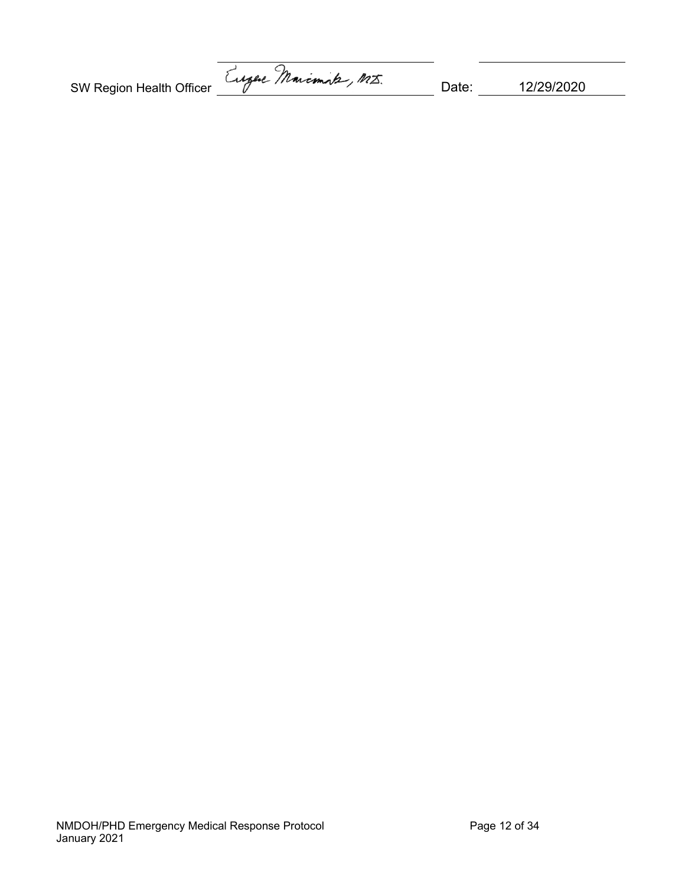SW Region Health Officer Eugele Marcmints, MI. Date: 12/29/2020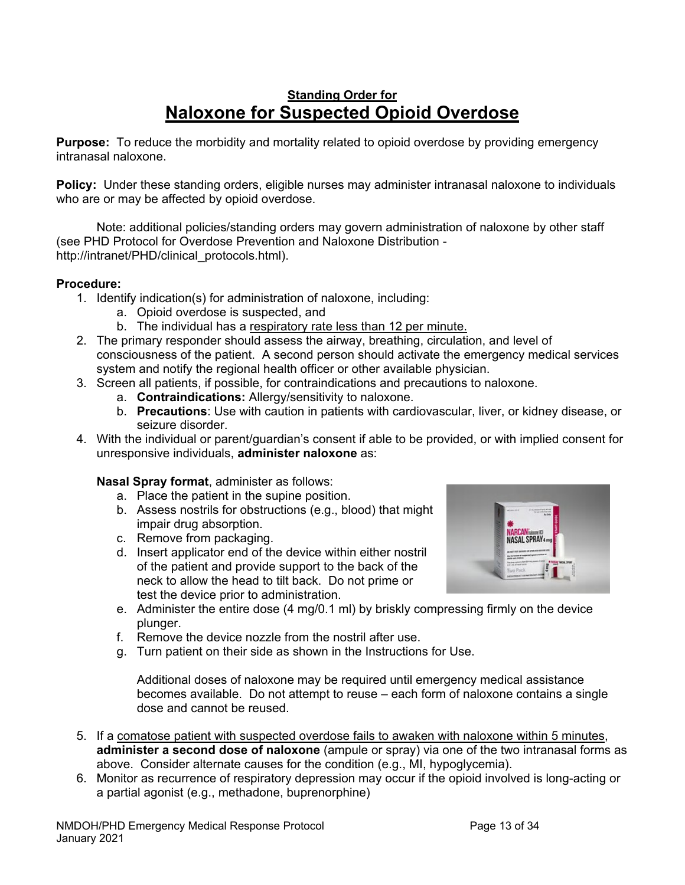## **Standing Order for Naloxone for Suspected Opioid Overdose**

**Purpose:** To reduce the morbidity and mortality related to opioid overdose by providing emergency intranasal naloxone.

**Policy:** Under these standing orders, eligible nurses may administer intranasal naloxone to individuals who are or may be affected by opioid overdose.

 Note: additional policies/standing orders may govern administration of naloxone by other staff (see PHD Protocol for Overdose Prevention and Naloxone Distribution http://intranet/PHD/clinical\_protocols.html).

### **Procedure:**

- 1. Identify indication(s) for administration of naloxone, including:
	- a. Opioid overdose is suspected, and
	- b. The individual has a respiratory rate less than 12 per minute.
- 2. The primary responder should assess the airway, breathing, circulation, and level of consciousness of the patient. A second person should activate the emergency medical services system and notify the regional health officer or other available physician.
- 3. Screen all patients, if possible, for contraindications and precautions to naloxone.
	- a. **Contraindications:** Allergy/sensitivity to naloxone.
	- b. **Precautions**: Use with caution in patients with cardiovascular, liver, or kidney disease, or seizure disorder.
- 4. With the individual or parent/guardian's consent if able to be provided, or with implied consent for unresponsive individuals, **administer naloxone** as:

### **Nasal Spray format**, administer as follows:

- a. Place the patient in the supine position.
- b. Assess nostrils for obstructions (e.g., blood) that might impair drug absorption.
- c. Remove from packaging.
- d. Insert applicator end of the device within either nostril of the patient and provide support to the back of the neck to allow the head to tilt back. Do not prime or test the device prior to administration.



- e. Administer the entire dose (4 mg/0.1 ml) by briskly compressing firmly on the device plunger.
- f. Remove the device nozzle from the nostril after use.
- g. Turn patient on their side as shown in the Instructions for Use.

Additional doses of naloxone may be required until emergency medical assistance becomes available. Do not attempt to reuse – each form of naloxone contains a single dose and cannot be reused.

- 5. If a comatose patient with suspected overdose fails to awaken with naloxone within 5 minutes, **administer a second dose of naloxone** (ampule or spray) via one of the two intranasal forms as above. Consider alternate causes for the condition (e.g., MI, hypoglycemia).
- 6. Monitor as recurrence of respiratory depression may occur if the opioid involved is long-acting or a partial agonist (e.g., methadone, buprenorphine)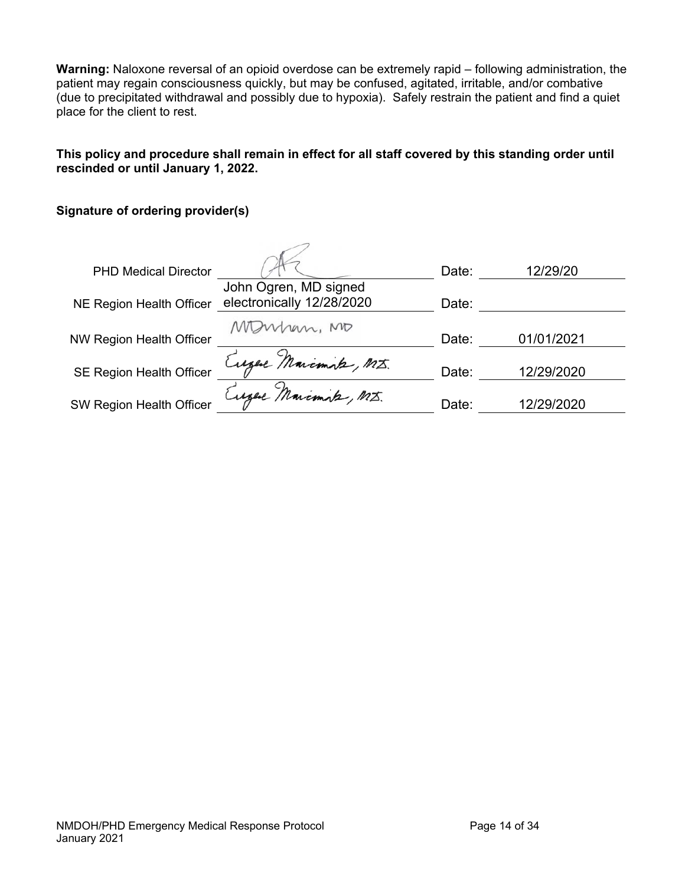**Warning:** Naloxone reversal of an opioid overdose can be extremely rapid – following administration, the patient may regain consciousness quickly, but may be confused, agitated, irritable, and/or combative (due to precipitated withdrawal and possibly due to hypoxia). Safely restrain the patient and find a quiet place for the client to rest.

### **This policy and procedure shall remain in effect for all staff covered by this standing order until rescinded or until January 1, 2022.**

### **Signature of ordering provider(s)**

| <b>PHD Medical Director</b>     |                                                    | Date: | 12/29/20   |
|---------------------------------|----------------------------------------------------|-------|------------|
| <b>NE Region Health Officer</b> | John Ogren, MD signed<br>electronically 12/28/2020 | Date: |            |
| <b>NW Region Health Officer</b> | MDWhen, MD                                         | Date: | 01/01/2021 |
| <b>SE Region Health Officer</b> | Eugel Marcmik, MI.                                 | Date: | 12/29/2020 |
| <b>SW Region Health Officer</b> | Eugel Marcmik, MI.                                 | Date: | 12/29/2020 |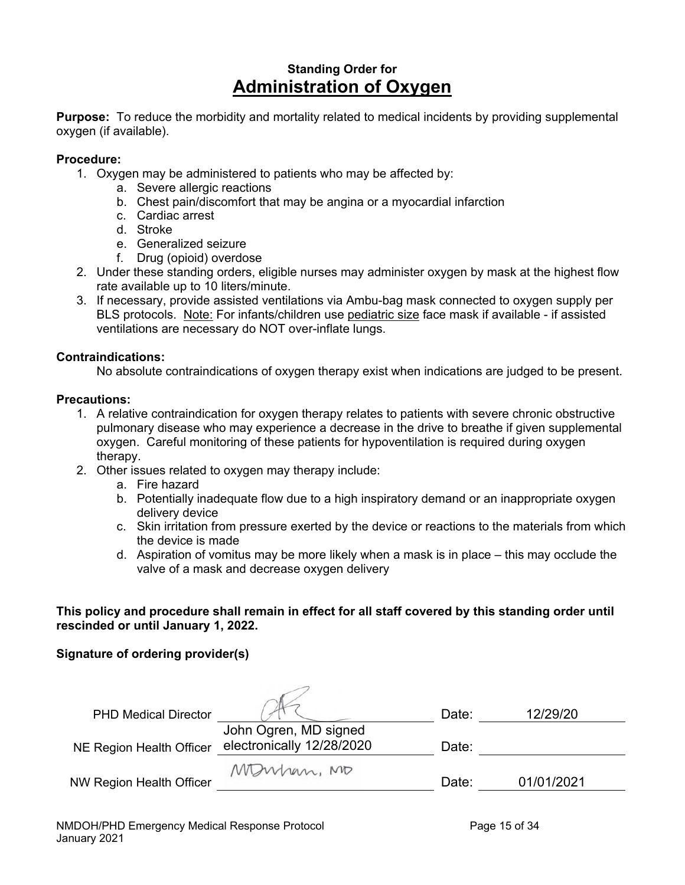## **Standing Order for Administration of Oxygen**

**Purpose:** To reduce the morbidity and mortality related to medical incidents by providing supplemental oxygen (if available).

### **Procedure:**

- 1. Oxygen may be administered to patients who may be affected by:
	- a. Severe allergic reactions
	- b. Chest pain/discomfort that may be angina or a myocardial infarction
	- c. Cardiac arrest
	- d. Stroke
	- e. Generalized seizure
	- f. Drug (opioid) overdose
- 2. Under these standing orders, eligible nurses may administer oxygen by mask at the highest flow rate available up to 10 liters/minute.
- 3. If necessary, provide assisted ventilations via Ambu-bag mask connected to oxygen supply per BLS protocols. Note: For infants/children use pediatric size face mask if available - if assisted ventilations are necessary do NOT over-inflate lungs.

### **Contraindications:**

No absolute contraindications of oxygen therapy exist when indications are judged to be present.

### **Precautions:**

- 1. A relative contraindication for oxygen therapy relates to patients with severe chronic obstructive pulmonary disease who may experience a decrease in the drive to breathe if given supplemental oxygen. Careful monitoring of these patients for hypoventilation is required during oxygen therapy.
- 2. Other issues related to oxygen may therapy include:
	- a. Fire hazard
	- b. Potentially inadequate flow due to a high inspiratory demand or an inappropriate oxygen delivery device
	- c. Skin irritation from pressure exerted by the device or reactions to the materials from which the device is made
	- d. Aspiration of vomitus may be more likely when a mask is in place this may occlude the valve of a mask and decrease oxygen delivery

### **This policy and procedure shall remain in effect for all staff covered by this standing order until rescinded or until January 1, 2022.**

### **Signature of ordering provider(s)**

| <b>PHD Medical Director</b>     |                                                    | Date: | 12/29/20   |
|---------------------------------|----------------------------------------------------|-------|------------|
| NE Region Health Officer        | John Ogren, MD signed<br>electronically 12/28/2020 | Date: |            |
| <b>NW Region Health Officer</b> | Monhan, MD                                         | Date: | 01/01/2021 |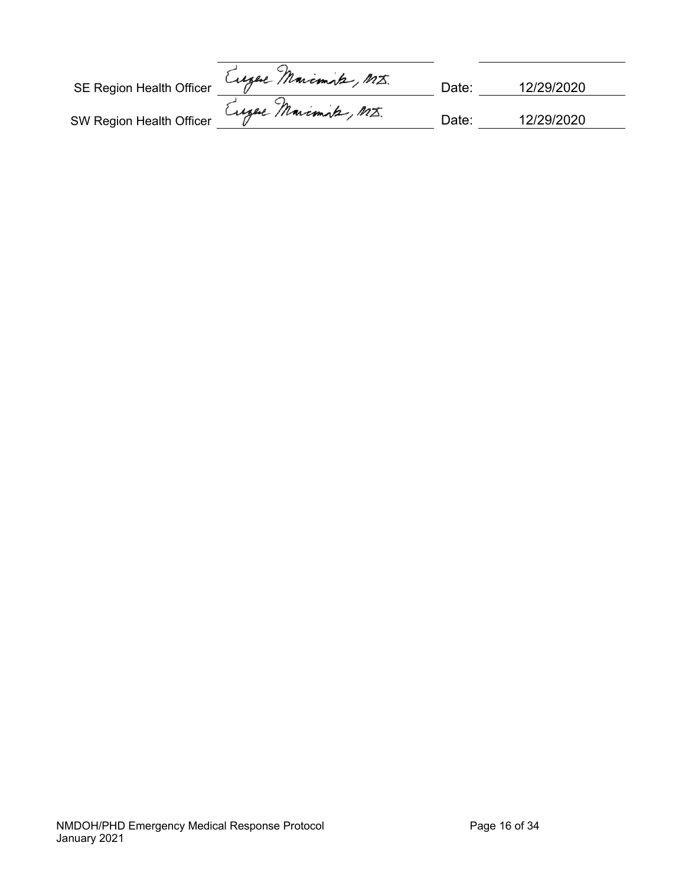| SE Region Health Officer | Eugel Marcmik, M.J.   | Date: | 12/29/2020 |
|--------------------------|-----------------------|-------|------------|
| SW Region Health Officer | Eugene Marcimite, MI. | Date: | 12/29/2020 |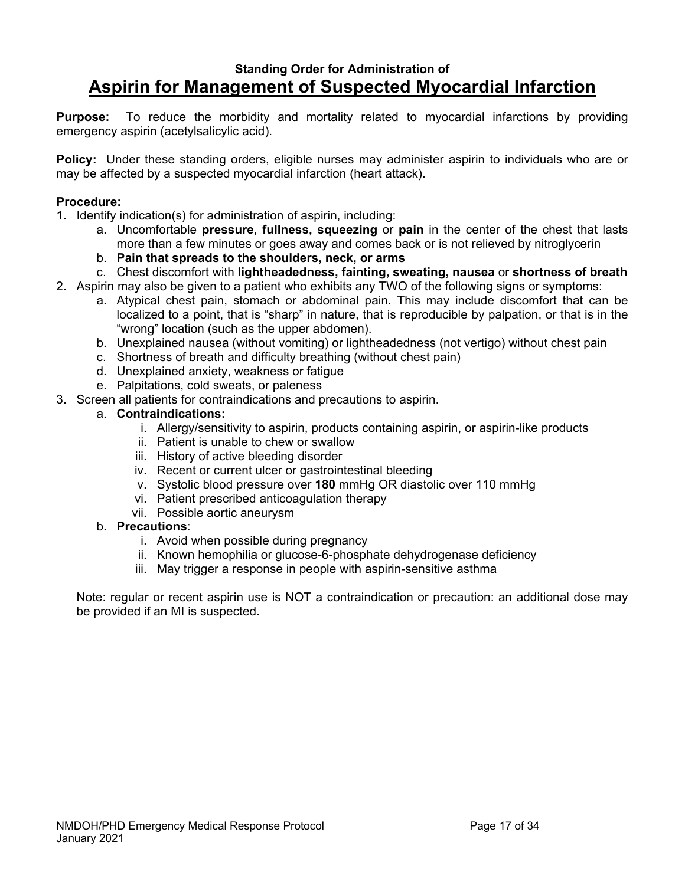### **Standing Order for Administration of Aspirin for Management of Suspected Myocardial Infarction**

**Purpose:** To reduce the morbidity and mortality related to myocardial infarctions by providing emergency aspirin (acetylsalicylic acid).

**Policy:** Under these standing orders, eligible nurses may administer aspirin to individuals who are or may be affected by a suspected myocardial infarction (heart attack).

### **Procedure:**

- 1. Identify indication(s) for administration of aspirin, including:
	- a. Uncomfortable **pressure, fullness, squeezing** or **pain** in the center of the chest that lasts more than a few minutes or goes away and comes back or is not relieved by nitroglycerin
	- b. **Pain that spreads to the shoulders, neck, or arms**
	- c. Chest discomfort with **lightheadedness, fainting, sweating, nausea** or **shortness of breath**
- 2. Aspirin may also be given to a patient who exhibits any TWO of the following signs or symptoms:
	- a. Atypical chest pain, stomach or abdominal pain. This may include discomfort that can be localized to a point, that is "sharp" in nature, that is reproducible by palpation, or that is in the "wrong" location (such as the upper abdomen).
	- b. Unexplained nausea (without vomiting) or lightheadedness (not vertigo) without chest pain
	- c. Shortness of breath and difficulty breathing (without chest pain)
	- d. Unexplained anxiety, weakness or fatigue
	- e. Palpitations, cold sweats, or paleness
- 3. Screen all patients for contraindications and precautions to aspirin.

### a. **Contraindications:**

- i. Allergy/sensitivity to aspirin, products containing aspirin, or aspirin-like products
- ii. Patient is unable to chew or swallow
- iii. History of active bleeding disorder
- iv. Recent or current ulcer or gastrointestinal bleeding
- v. Systolic blood pressure over **180** mmHg OR diastolic over 110 mmHg
- vi. Patient prescribed anticoagulation therapy
- vii. Possible aortic aneurysm

#### b. **Precautions**:

- i. Avoid when possible during pregnancy
- ii. Known hemophilia or glucose-6-phosphate dehydrogenase deficiency
- iii. May trigger a response in people with aspirin-sensitive asthma

Note: regular or recent aspirin use is NOT a contraindication or precaution: an additional dose may be provided if an MI is suspected.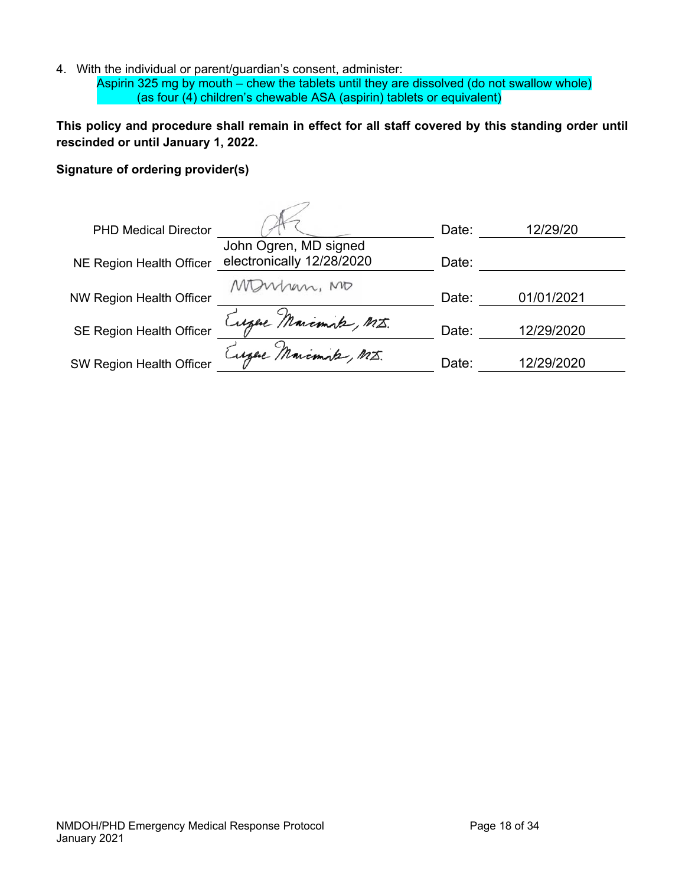4. With the individual or parent/guardian's consent, administer:

Aspirin 325 mg by mouth – chew the tablets until they are dissolved (do not swallow whole) (as four (4) children's chewable ASA (aspirin) tablets or equivalent)

**This policy and procedure shall remain in effect for all staff covered by this standing order until rescinded or until January 1, 2022.** 

### **Signature of ordering provider(s)**

| <b>PHD Medical Director</b>     |                           | Date: | 12/29/20   |
|---------------------------------|---------------------------|-------|------------|
|                                 | John Ogren, MD signed     |       |            |
| <b>NE Region Health Officer</b> | electronically 12/28/2020 | Date: |            |
|                                 | When, MD                  |       |            |
| <b>NW Region Health Officer</b> |                           | Date: | 01/01/2021 |
|                                 | Eugel Marcmik, MI.        |       |            |
| <b>SE Region Health Officer</b> |                           | Date: | 12/29/2020 |
|                                 | Eugel Marcmik, MI.        |       |            |
| <b>SW Region Health Officer</b> |                           | Date: | 12/29/2020 |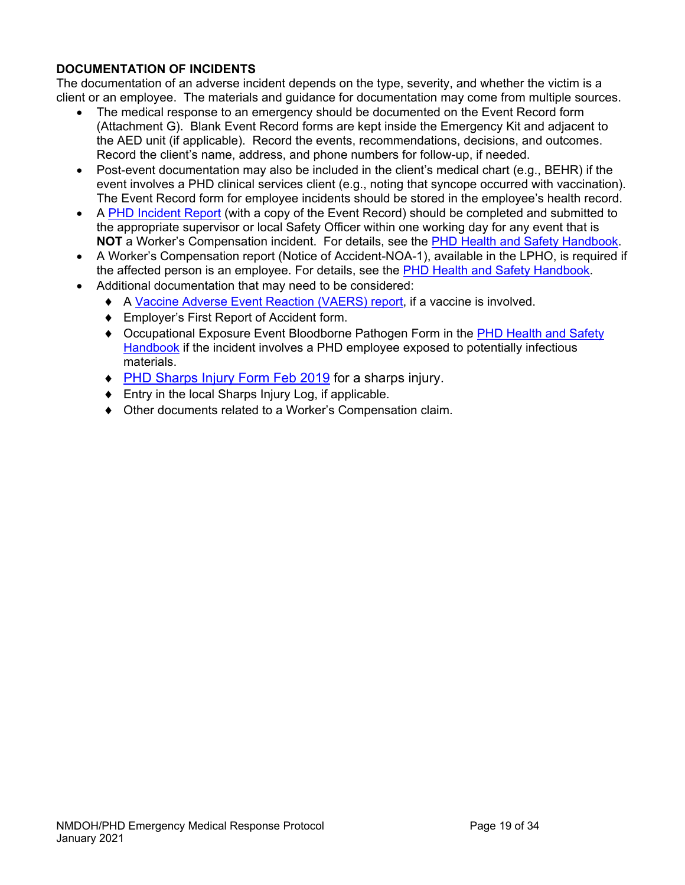### **DOCUMENTATION OF INCIDENTS**

The documentation of an adverse incident depends on the type, severity, and whether the victim is a client or an employee. The materials and guidance for documentation may come from multiple sources.

- The medical response to an emergency should be documented on the Event Record form (Attachment G). Blank Event Record forms are kept inside the Emergency Kit and adjacent to the AED unit (if applicable). Record the events, recommendations, decisions, and outcomes. Record the client's name, address, and phone numbers for follow-up, if needed.
- Post-event documentation may also be included in the client's medical chart (e.g., BEHR) if the event involves a PHD clinical services client (e.g., noting that syncope occurred with vaccination). The Event Record form for employee incidents should be stored in the employee's health record.
- A PHD Incident Report (with a copy of the Event Record) should be completed and submitted to the appropriate supervisor or local Safety Officer within one working day for any event that is **NOT** a Worker's Compensation incident. For details, see the PHD Health and Safety Handbook.
- A Worker's Compensation report (Notice of Accident-NOA-1), available in the LPHO, is required if the affected person is an employee. For details, see the **PHD Health and Safety Handbook**.
- Additional documentation that may need to be considered:
	- A Vaccine Adverse Event Reaction (VAERS) report, if a vaccine is involved.
	- Employer's First Report of Accident form.
	- ◆ Occupational Exposure Event Bloodborne Pathogen Form in the PHD Health and Safety Handbook if the incident involves a PHD employee exposed to potentially infectious materials.
	- ◆ PHD Sharps Injury Form Feb 2019 for a sharps injury.
	- ◆ Entry in the local Sharps Injury Log, if applicable.
	- Other documents related to a Worker's Compensation claim.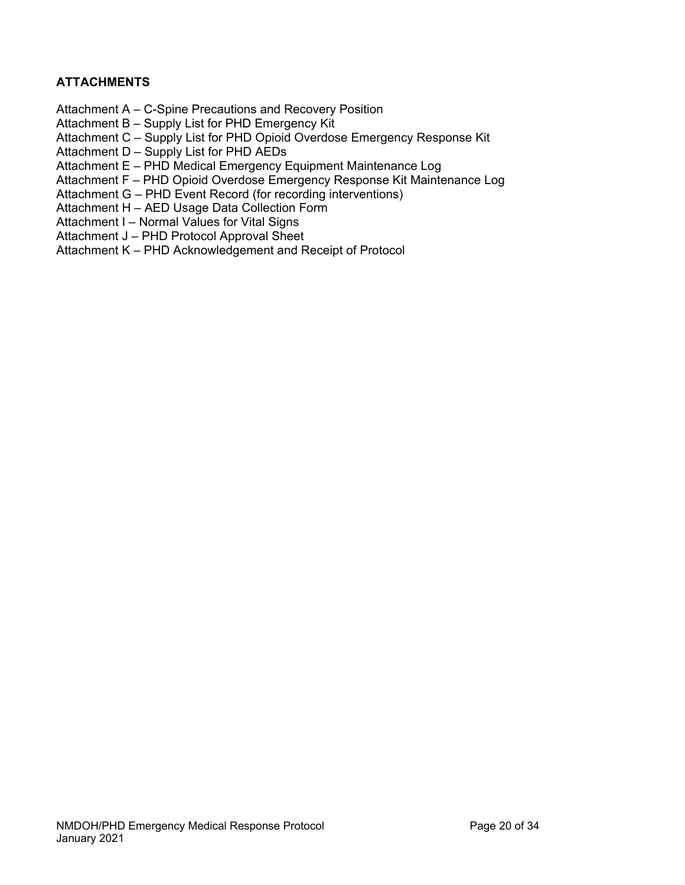### **ATTACHMENTS**

- Attachment A C-Spine Precautions and Recovery Position
- Attachment B Supply List for PHD Emergency Kit
- Attachment C Supply List for PHD Opioid Overdose Emergency Response Kit
- Attachment D Supply List for PHD AEDs
- Attachment E PHD Medical Emergency Equipment Maintenance Log
- Attachment F PHD Opioid Overdose Emergency Response Kit Maintenance Log
- Attachment G PHD Event Record (for recording interventions)
- Attachment H AED Usage Data Collection Form
- Attachment I Normal Values for Vital Signs
- Attachment J PHD Protocol Approval Sheet
- Attachment K PHD Acknowledgement and Receipt of Protocol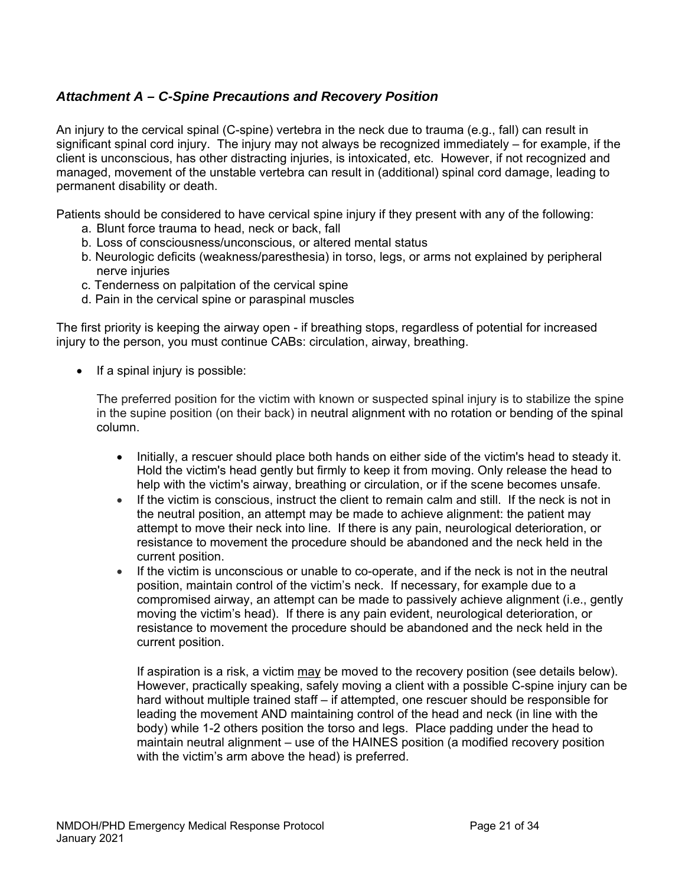### *Attachment A – C-Spine Precautions and Recovery Position*

An injury to the cervical spinal (C-spine) vertebra in the neck due to trauma (e.g., fall) can result in significant spinal cord injury. The injury may not always be recognized immediately – for example, if the client is unconscious, has other distracting injuries, is intoxicated, etc. However, if not recognized and managed, movement of the unstable vertebra can result in (additional) spinal cord damage, leading to permanent disability or death.

Patients should be considered to have cervical spine injury if they present with any of the following:

- a. Blunt force trauma to head, neck or back, fall
- b. Loss of consciousness/unconscious, or altered mental status
- b. Neurologic deficits (weakness/paresthesia) in torso, legs, or arms not explained by peripheral nerve injuries
- c. Tenderness on palpitation of the cervical spine
- d. Pain in the cervical spine or paraspinal muscles

The first priority is keeping the airway open - if breathing stops, regardless of potential for increased injury to the person, you must continue CABs: circulation, airway, breathing.

 $\bullet$  If a spinal injury is possible:

The preferred position for the victim with known or suspected spinal injury is to stabilize the spine in the supine position (on their back) in neutral alignment with no rotation or bending of the spinal column.

- Initially, a rescuer should place both hands on either side of the victim's head to steady it. Hold the victim's head gently but firmly to keep it from moving. Only release the head to help with the victim's airway, breathing or circulation, or if the scene becomes unsafe.
- $\bullet$  If the victim is conscious, instruct the client to remain calm and still. If the neck is not in the neutral position, an attempt may be made to achieve alignment: the patient may attempt to move their neck into line. If there is any pain, neurological deterioration, or resistance to movement the procedure should be abandoned and the neck held in the current position.
- If the victim is unconscious or unable to co-operate, and if the neck is not in the neutral position, maintain control of the victim's neck. If necessary, for example due to a compromised airway, an attempt can be made to passively achieve alignment (i.e., gently moving the victim's head). If there is any pain evident, neurological deterioration, or resistance to movement the procedure should be abandoned and the neck held in the current position.

If aspiration is a risk, a victim may be moved to the recovery position (see details below). However, practically speaking, safely moving a client with a possible C-spine injury can be hard without multiple trained staff – if attempted, one rescuer should be responsible for leading the movement AND maintaining control of the head and neck (in line with the body) while 1-2 others position the torso and legs. Place padding under the head to maintain neutral alignment – use of the HAINES position (a modified recovery position with the victim's arm above the head) is preferred.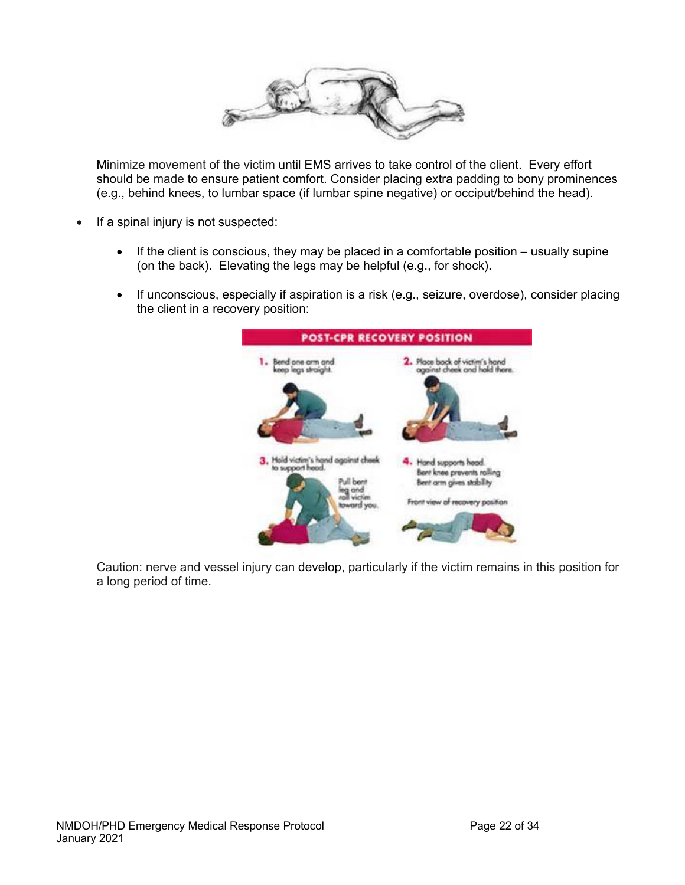

Minimize movement of the victim until EMS arrives to take control of the client. Every effort should be made to ensure patient comfort. Consider placing extra padding to bony prominences (e.g., behind knees, to lumbar space (if lumbar spine negative) or occiput/behind the head).

- $\bullet$  If a spinal injury is not suspected:
	- If the client is conscious, they may be placed in a comfortable position  $-$  usually supine (on the back). Elevating the legs may be helpful (e.g., for shock).
	- If unconscious, especially if aspiration is a risk (e.g., seizure, overdose), consider placing the client in a recovery position:



Caution: nerve and vessel injury can develop, particularly if the victim remains in this position for a long period of time.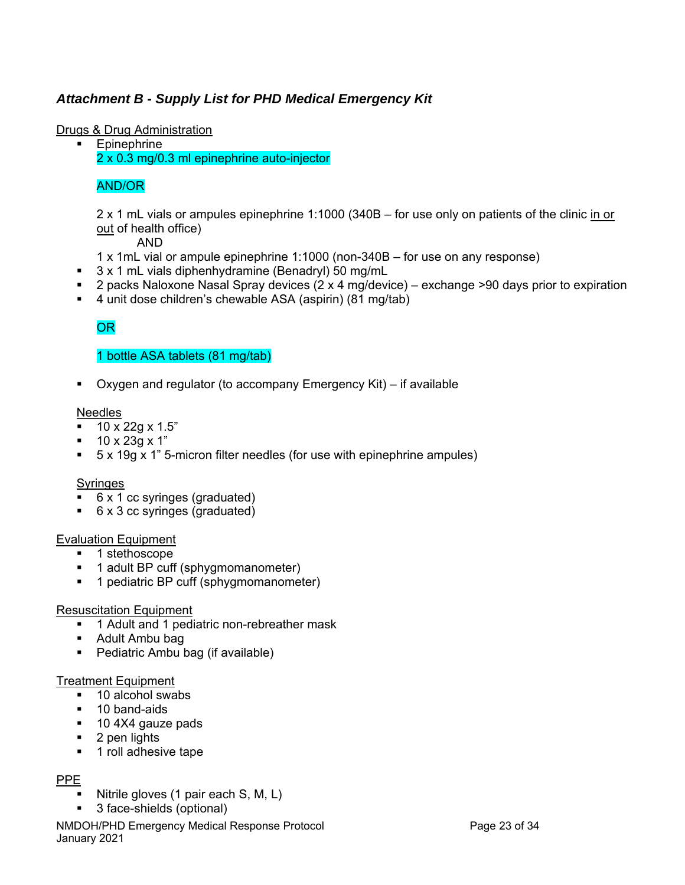### *Attachment B - Supply List for PHD Medical Emergency Kit*

### Drugs & Drug Administration

**Epinephrine** 2 x 0.3 mg/0.3 ml epinephrine auto-injector

### AND/OR

2 x 1 mL vials or ampules epinephrine 1:1000 (340B – for use only on patients of the clinic in or out of health office)

AND

- 1 x 1mL vial or ampule epinephrine 1:1000 (non-340B for use on any response)
- 3 x 1 mL vials diphenhydramine (Benadryl) 50 mg/mL
- **2** packs Naloxone Nasal Spray devices  $(2 \times 4 \text{ m}q/\text{device})$  exchange >90 days prior to expiration
- 4 unit dose children's chewable ASA (aspirin) (81 mg/tab)

### OR

### 1 bottle ASA tablets (81 mg/tab)

Oxygen and regulator (to accompany Emergency Kit) – if available

#### **Needles**

- $10 \times 22g \times 1.5$ "
- $10 \times 23g \times 1$ "
- 5 x 19g x 1" 5-micron filter needles (for use with epinephrine ampules)

#### **Syringes**

- 6 x 1 cc syringes (graduated)
- 6 x 3 cc syringes (graduated)

#### Evaluation Equipment

- 1 stethoscope
- 1 adult BP cuff (sphygmomanometer)
- **1** pediatric BP cuff (sphygmomanometer)

#### Resuscitation Equipment

- <sup>1</sup> 1 Adult and 1 pediatric non-rebreather mask
- Adult Ambu bag
- Pediatric Ambu bag (if available)

#### Treatment Equipment

- 10 alcohol swabs
- **10 band-aids**
- 10 4X4 gauze pads
- **2** pen lights
- **1** roll adhesive tape

### PPE

- Nitrile gloves (1 pair each S, M, L)
- 3 face-shields (optional)

NMDOH/PHD Emergency Medical Response Protocol Page 23 of 34 January 2021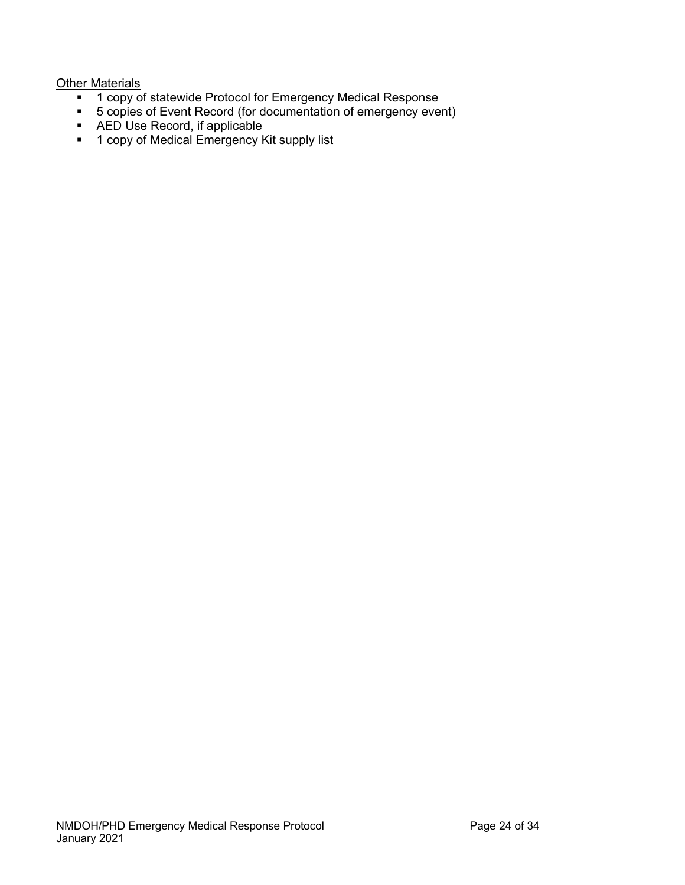### **Other Materials**

- <sup>1</sup> 1 copy of statewide Protocol for Emergency Medical Response
- 5 copies of Event Record (for documentation of emergency event)
- AED Use Record, if applicable
- <sup>1</sup> 1 copy of Medical Emergency Kit supply list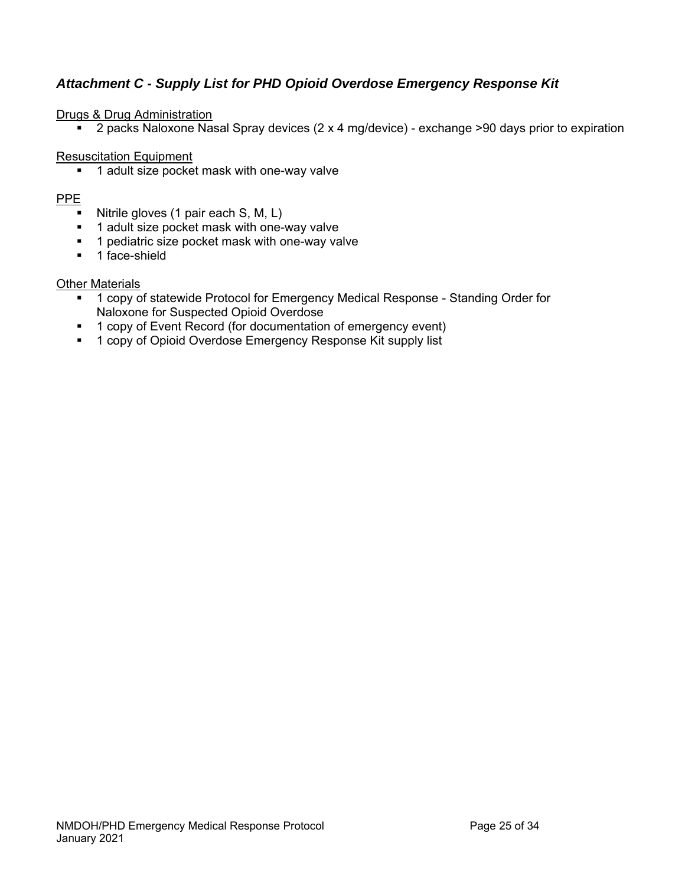### *Attachment C - Supply List for PHD Opioid Overdose Emergency Response Kit*

### Drugs & Drug Administration

■ 2 packs Naloxone Nasal Spray devices (2 x 4 mg/device) - exchange >90 days prior to expiration

### Resuscitation Equipment

■ 1 adult size pocket mask with one-way valve

### PPE

- Nitrile gloves (1 pair each  $S, M, L$ )
- 1 adult size pocket mask with one-way valve
- 1 pediatric size pocket mask with one-way valve
- $\blacksquare$  1 face-shield

### Other Materials

- 1 copy of statewide Protocol for Emergency Medical Response Standing Order for Naloxone for Suspected Opioid Overdose
- 1 copy of Event Record (for documentation of emergency event)
- **1 copy of Opioid Overdose Emergency Response Kit supply list**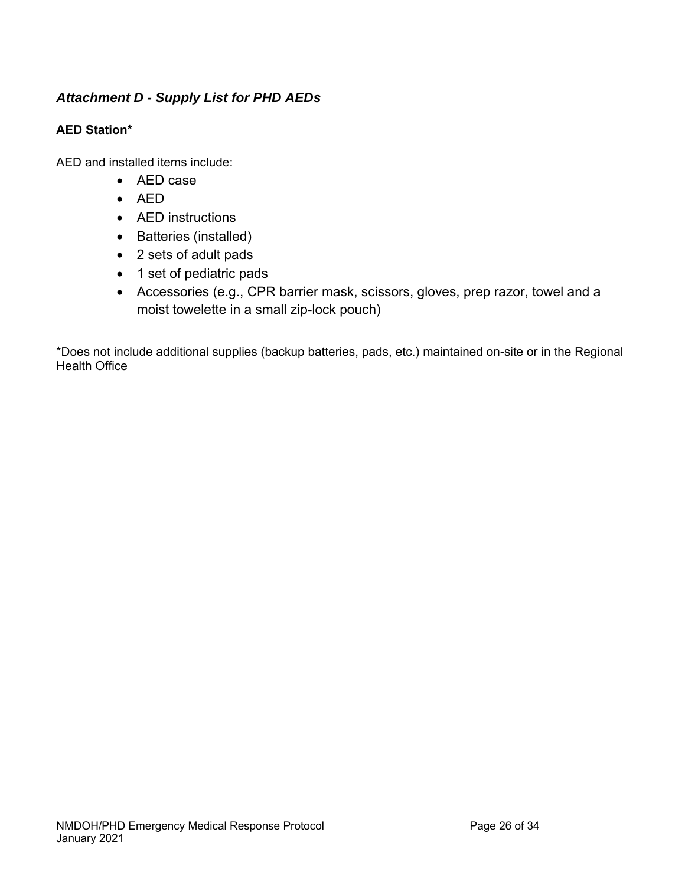### *Attachment D - Supply List for PHD AEDs*

### **AED Station\***

AED and installed items include:

- AED case
- $\bullet$  AED
- AED instructions
- Batteries (installed)
- 2 sets of adult pads
- 1 set of pediatric pads
- Accessories (e.g., CPR barrier mask, scissors, gloves, prep razor, towel and a moist towelette in a small zip-lock pouch)

\*Does not include additional supplies (backup batteries, pads, etc.) maintained on-site or in the Regional Health Office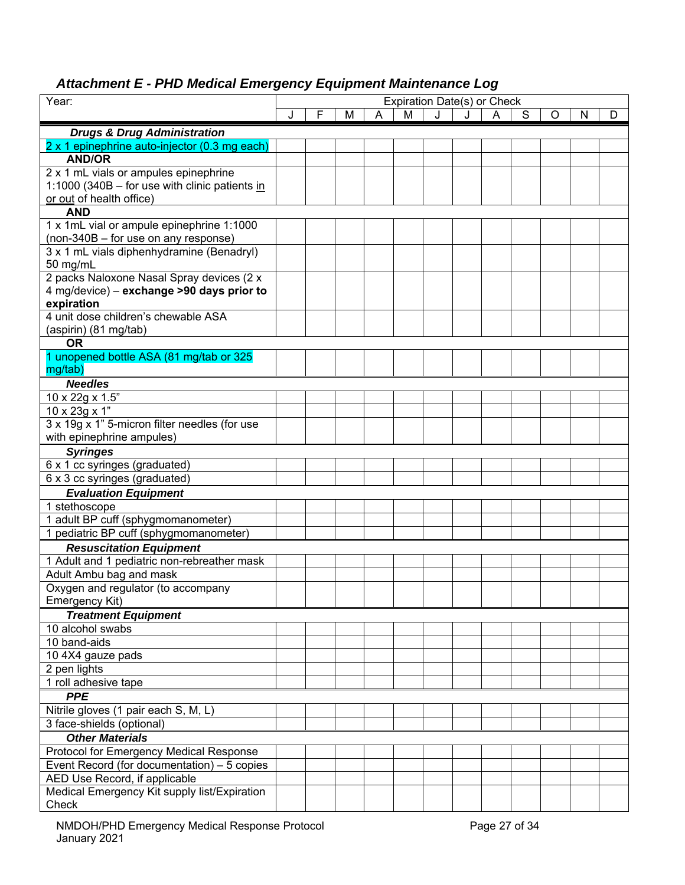### *Attachment E - PHD Medical Emergency Equipment Maintenance Log*

| Year:                                                                         | Expiration Date(s) or Check |   |   |   |   |   |   |   |   |   |   |   |
|-------------------------------------------------------------------------------|-----------------------------|---|---|---|---|---|---|---|---|---|---|---|
|                                                                               |                             | F | М | Α | M | J | J | A | S | O | N | D |
| <b>Drugs &amp; Drug Administration</b>                                        |                             |   |   |   |   |   |   |   |   |   |   |   |
| 2 x 1 epinephrine auto-injector (0.3 mg each)                                 |                             |   |   |   |   |   |   |   |   |   |   |   |
| <b>AND/OR</b>                                                                 |                             |   |   |   |   |   |   |   |   |   |   |   |
| 2 x 1 mL vials or ampules epinephrine                                         |                             |   |   |   |   |   |   |   |   |   |   |   |
| 1:1000 (340B – for use with clinic patients in                                |                             |   |   |   |   |   |   |   |   |   |   |   |
| or out of health office)                                                      |                             |   |   |   |   |   |   |   |   |   |   |   |
| <b>AND</b>                                                                    |                             |   |   |   |   |   |   |   |   |   |   |   |
| 1 x 1mL vial or ampule epinephrine 1:1000                                     |                             |   |   |   |   |   |   |   |   |   |   |   |
| (non-340B - for use on any response)                                          |                             |   |   |   |   |   |   |   |   |   |   |   |
| 3 x 1 mL vials diphenhydramine (Benadryl)                                     |                             |   |   |   |   |   |   |   |   |   |   |   |
| 50 mg/mL                                                                      |                             |   |   |   |   |   |   |   |   |   |   |   |
| 2 packs Naloxone Nasal Spray devices (2 x                                     |                             |   |   |   |   |   |   |   |   |   |   |   |
| 4 mg/device) – exchange >90 days prior to                                     |                             |   |   |   |   |   |   |   |   |   |   |   |
| expiration                                                                    |                             |   |   |   |   |   |   |   |   |   |   |   |
| 4 unit dose children's chewable ASA                                           |                             |   |   |   |   |   |   |   |   |   |   |   |
| (aspirin) (81 mg/tab)                                                         |                             |   |   |   |   |   |   |   |   |   |   |   |
| <b>OR</b>                                                                     |                             |   |   |   |   |   |   |   |   |   |   |   |
| 1 unopened bottle ASA (81 mg/tab or 325                                       |                             |   |   |   |   |   |   |   |   |   |   |   |
| mg/tab)                                                                       |                             |   |   |   |   |   |   |   |   |   |   |   |
| <b>Needles</b>                                                                |                             |   |   |   |   |   |   |   |   |   |   |   |
| 10 x 22g x 1.5"                                                               |                             |   |   |   |   |   |   |   |   |   |   |   |
| 10 x 23g x 1"                                                                 |                             |   |   |   |   |   |   |   |   |   |   |   |
| 3 x 19g x 1" 5-micron filter needles (for use                                 |                             |   |   |   |   |   |   |   |   |   |   |   |
| with epinephrine ampules)                                                     |                             |   |   |   |   |   |   |   |   |   |   |   |
| <b>Syringes</b>                                                               |                             |   |   |   |   |   |   |   |   |   |   |   |
| 6 x 1 cc syringes (graduated)                                                 |                             |   |   |   |   |   |   |   |   |   |   |   |
| 6 x 3 cc syringes (graduated)                                                 |                             |   |   |   |   |   |   |   |   |   |   |   |
| <b>Evaluation Equipment</b>                                                   |                             |   |   |   |   |   |   |   |   |   |   |   |
| 1 stethoscope<br>1 adult BP cuff (sphygmomanometer)                           |                             |   |   |   |   |   |   |   |   |   |   |   |
| 1 pediatric BP cuff (sphygmomanometer)                                        |                             |   |   |   |   |   |   |   |   |   |   |   |
|                                                                               |                             |   |   |   |   |   |   |   |   |   |   |   |
| <b>Resuscitation Equipment</b><br>1 Adult and 1 pediatric non-rebreather mask |                             |   |   |   |   |   |   |   |   |   |   |   |
| Adult Ambu bag and mask                                                       |                             |   |   |   |   |   |   |   |   |   |   |   |
| Oxygen and regulator (to accompany                                            |                             |   |   |   |   |   |   |   |   |   |   |   |
| Emergency Kit)                                                                |                             |   |   |   |   |   |   |   |   |   |   |   |
| <b>Treatment Equipment</b>                                                    |                             |   |   |   |   |   |   |   |   |   |   |   |
| 10 alcohol swabs                                                              |                             |   |   |   |   |   |   |   |   |   |   |   |
| 10 band-aids                                                                  |                             |   |   |   |   |   |   |   |   |   |   |   |
| 10 4X4 gauze pads                                                             |                             |   |   |   |   |   |   |   |   |   |   |   |
| 2 pen lights                                                                  |                             |   |   |   |   |   |   |   |   |   |   |   |
| 1 roll adhesive tape                                                          |                             |   |   |   |   |   |   |   |   |   |   |   |
| <b>PPE</b>                                                                    |                             |   |   |   |   |   |   |   |   |   |   |   |
| Nitrile gloves (1 pair each S, M, L)                                          |                             |   |   |   |   |   |   |   |   |   |   |   |
| 3 face-shields (optional)                                                     |                             |   |   |   |   |   |   |   |   |   |   |   |
| <b>Other Materials</b>                                                        |                             |   |   |   |   |   |   |   |   |   |   |   |
| Protocol for Emergency Medical Response                                       |                             |   |   |   |   |   |   |   |   |   |   |   |
| Event Record (for documentation) - 5 copies                                   |                             |   |   |   |   |   |   |   |   |   |   |   |
| AED Use Record, if applicable                                                 |                             |   |   |   |   |   |   |   |   |   |   |   |
| Medical Emergency Kit supply list/Expiration                                  |                             |   |   |   |   |   |   |   |   |   |   |   |
| Check                                                                         |                             |   |   |   |   |   |   |   |   |   |   |   |
|                                                                               |                             |   |   |   |   |   |   |   |   |   |   |   |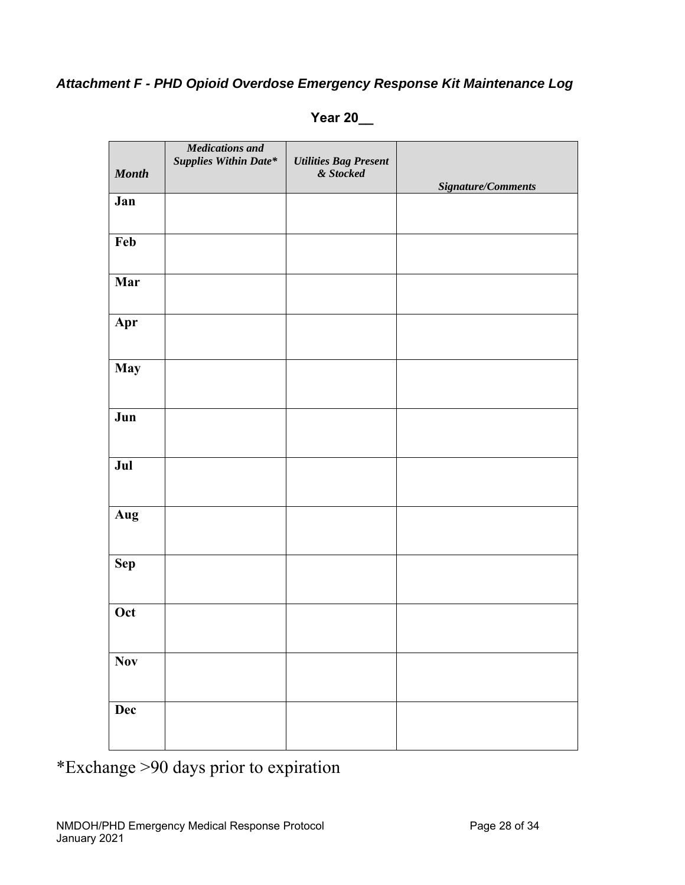## *Attachment F - PHD Opioid Overdose Emergency Response Kit Maintenance Log*

| <b>Month</b> | <b>Medications</b> and<br><b>Supplies Within Date*</b> | <b>Utilities Bag Present</b><br>& Stocked | Signature/Comments |
|--------------|--------------------------------------------------------|-------------------------------------------|--------------------|
| Jan          |                                                        |                                           |                    |
| Feb          |                                                        |                                           |                    |
| Mar          |                                                        |                                           |                    |
| Apr          |                                                        |                                           |                    |
| <b>May</b>   |                                                        |                                           |                    |
| Jun          |                                                        |                                           |                    |
| Jul          |                                                        |                                           |                    |
| Aug          |                                                        |                                           |                    |
| <b>Sep</b>   |                                                        |                                           |                    |
| Oct          |                                                        |                                           |                    |
| $\bf Nov$    |                                                        |                                           |                    |
| Dec          |                                                        |                                           |                    |

**Year 20\_\_** 

\*Exchange >90 days prior to expiration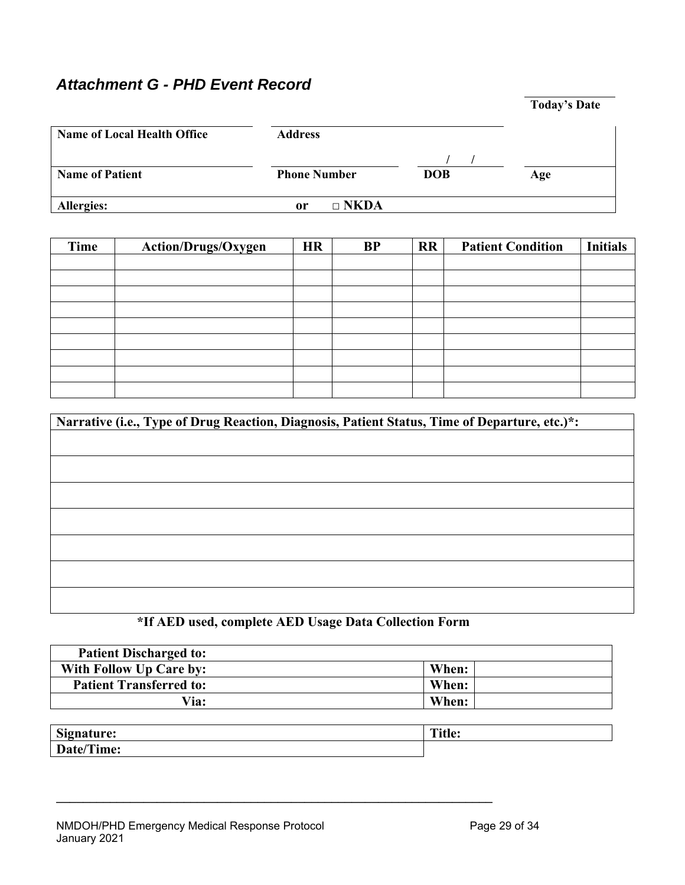## *Attachment G - PHD Event Record*

|                                    |                                   | <b>Today's Date</b> |
|------------------------------------|-----------------------------------|---------------------|
| <b>Name of Local Health Office</b> | <b>Address</b>                    |                     |
| <b>Name of Patient</b>             | <b>DOB</b><br><b>Phone Number</b> | Age                 |
| Allergies:                         | $\Box$ NKDA<br>0r                 |                     |

| Time | Action/Drugs/Oxygen | <b>HR</b> | <b>BP</b> | <b>RR</b> | <b>Patient Condition</b> | <b>Initials</b> |
|------|---------------------|-----------|-----------|-----------|--------------------------|-----------------|
|      |                     |           |           |           |                          |                 |
|      |                     |           |           |           |                          |                 |
|      |                     |           |           |           |                          |                 |
|      |                     |           |           |           |                          |                 |
|      |                     |           |           |           |                          |                 |
|      |                     |           |           |           |                          |                 |
|      |                     |           |           |           |                          |                 |
|      |                     |           |           |           |                          |                 |
|      |                     |           |           |           |                          |                 |

| Narrative (i.e., Type of Drug Reaction, Diagnosis, Patient Status, Time of Departure, etc.)*: |  |  |  |
|-----------------------------------------------------------------------------------------------|--|--|--|
|                                                                                               |  |  |  |
|                                                                                               |  |  |  |
|                                                                                               |  |  |  |
|                                                                                               |  |  |  |
|                                                                                               |  |  |  |
|                                                                                               |  |  |  |
|                                                                                               |  |  |  |
|                                                                                               |  |  |  |
|                                                                                               |  |  |  |
|                                                                                               |  |  |  |

## **\*If AED used, complete AED Usage Data Collection Form**

**\_\_\_\_\_\_\_\_\_\_\_\_\_\_\_\_\_\_\_\_\_\_\_\_\_\_\_\_\_\_\_\_\_\_\_\_\_\_\_\_\_\_\_\_\_\_\_\_\_\_\_\_\_\_\_\_\_\_\_\_\_\_\_\_\_** 

| <b>Patient Discharged to:</b>  |       |
|--------------------------------|-------|
| <b>With Follow Up Care by:</b> | When: |
| <b>Patient Transferred to:</b> | When: |
| Via:                           | When: |

| $\sim$                                 | $T = 0.1$ |
|----------------------------------------|-----------|
| <b>ignature:</b>                       | itia:     |
| ுடி                                    | THIL.     |
| rrm<br>Doi:<br>Time:<br>$\bm{\nu}$ atu |           |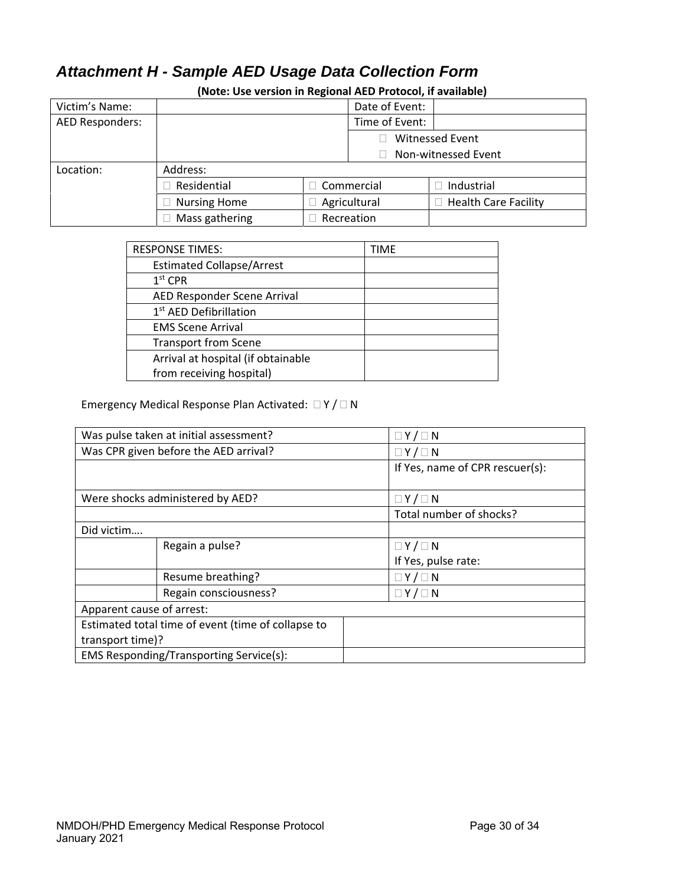## *Attachment H - Sample AED Usage Data Collection Form*

| Victim's Name:  |                     |              | Date of Event:         |                             |                |  |
|-----------------|---------------------|--------------|------------------------|-----------------------------|----------------|--|
| AED Responders: |                     |              |                        |                             | Time of Event: |  |
|                 |                     |              | <b>Witnessed Event</b> |                             |                |  |
|                 |                     |              |                        | Non-witnessed Event         |                |  |
| Location:       | Address:            |              |                        |                             |                |  |
|                 | Residential         | Commercial   |                        | Industrial                  |                |  |
|                 | <b>Nursing Home</b> | Agricultural |                        | <b>Health Care Facility</b> |                |  |
|                 | Mass gathering      |              | Recreation             |                             |                |  |

**(Note: Use version in Regional AED Protocol, if available)** 

| <b>RESPONSE TIMES:</b>             | TIME |
|------------------------------------|------|
| <b>Estimated Collapse/Arrest</b>   |      |
| $1st$ CPR                          |      |
| AED Responder Scene Arrival        |      |
| 1 <sup>st</sup> AED Defibrillation |      |
| <b>EMS Scene Arrival</b>           |      |
| <b>Transport from Scene</b>        |      |
| Arrival at hospital (if obtainable |      |
| from receiving hospital)           |      |

### Emergency Medical Response Plan Activated:  $\Box Y / \Box N$

| Was pulse taken at initial assessment?             |                       | $\Box Y / \Box N$               |  |
|----------------------------------------------------|-----------------------|---------------------------------|--|
| Was CPR given before the AED arrival?              |                       | $\Box Y / \Box N$               |  |
|                                                    |                       | If Yes, name of CPR rescuer(s): |  |
|                                                    |                       |                                 |  |
| Were shocks administered by AED?                   |                       | $\Box Y / \Box N$               |  |
|                                                    |                       | Total number of shocks?         |  |
| Did victim                                         |                       |                                 |  |
|                                                    | Regain a pulse?       | $\Box Y / \Box N$               |  |
|                                                    |                       | If Yes, pulse rate:             |  |
|                                                    | Resume breathing?     | $\Box Y / \Box N$               |  |
|                                                    | Regain consciousness? | $\Box Y / \Box N$               |  |
| Apparent cause of arrest:                          |                       |                                 |  |
| Estimated total time of event (time of collapse to |                       |                                 |  |
| transport time)?                                   |                       |                                 |  |
| <b>EMS Responding/Transporting Service(s):</b>     |                       |                                 |  |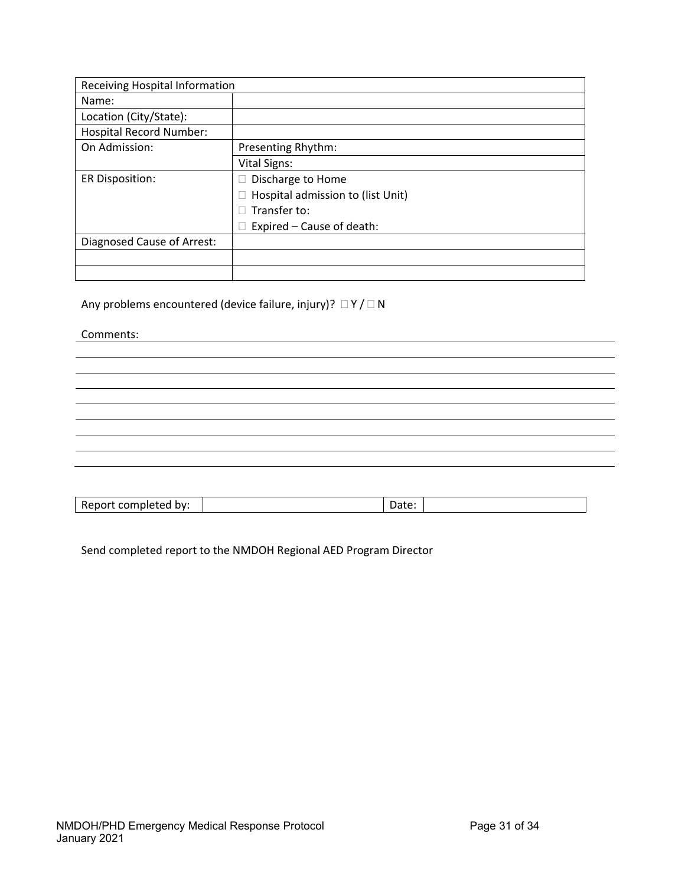| <b>Receiving Hospital Information</b> |                                   |  |
|---------------------------------------|-----------------------------------|--|
| Name:                                 |                                   |  |
| Location (City/State):                |                                   |  |
| <b>Hospital Record Number:</b>        |                                   |  |
| On Admission:                         | Presenting Rhythm:                |  |
|                                       | <b>Vital Signs:</b>               |  |
| <b>ER Disposition:</b>                | Discharge to Home                 |  |
|                                       | Hospital admission to (list Unit) |  |
|                                       | Transfer to:                      |  |
|                                       | Expired - Cause of death:         |  |
| Diagnosed Cause of Arrest:            |                                   |  |
|                                       |                                   |  |
|                                       |                                   |  |

Any problems encountered (device failure, injury)?  $\Box Y / \Box N$ 

Comments:

Send completed report to the NMDOH Regional AED Program Director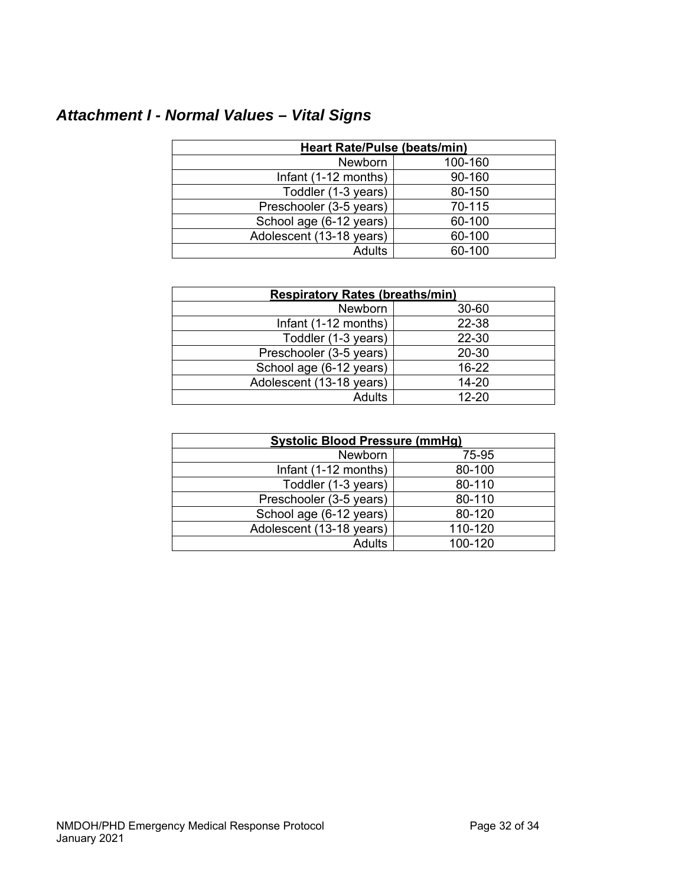# *Attachment I - Normal Values – Vital Signs*

| <b>Heart Rate/Pulse (beats/min)</b> |         |  |  |
|-------------------------------------|---------|--|--|
| Newborn                             | 100-160 |  |  |
| Infant (1-12 months)                | 90-160  |  |  |
| Toddler (1-3 years)                 | 80-150  |  |  |
| Preschooler (3-5 years)             | 70-115  |  |  |
| School age (6-12 years)             | 60-100  |  |  |
| Adolescent (13-18 years)            | 60-100  |  |  |
| Adults                              | 60-100  |  |  |

| <b>Respiratory Rates (breaths/min)</b> |           |  |  |
|----------------------------------------|-----------|--|--|
| Newborn                                | 30-60     |  |  |
| Infant (1-12 months)                   | 22-38     |  |  |
| Toddler (1-3 years)                    | 22-30     |  |  |
| Preschooler (3-5 years)                | 20-30     |  |  |
| School age (6-12 years)                | $16 - 22$ |  |  |
| Adolescent (13-18 years)               | $14 - 20$ |  |  |
| <b>Adults</b>                          | $12 - 20$ |  |  |

| <b>Systolic Blood Pressure (mmHg)</b> |         |  |  |
|---------------------------------------|---------|--|--|
| <b>Newborn</b>                        | 75-95   |  |  |
| Infant (1-12 months)                  | 80-100  |  |  |
| Toddler (1-3 years)                   | 80-110  |  |  |
| Preschooler (3-5 years)               | 80-110  |  |  |
| School age (6-12 years)               | 80-120  |  |  |
| Adolescent (13-18 years)              | 110-120 |  |  |
| Adults                                | 100-120 |  |  |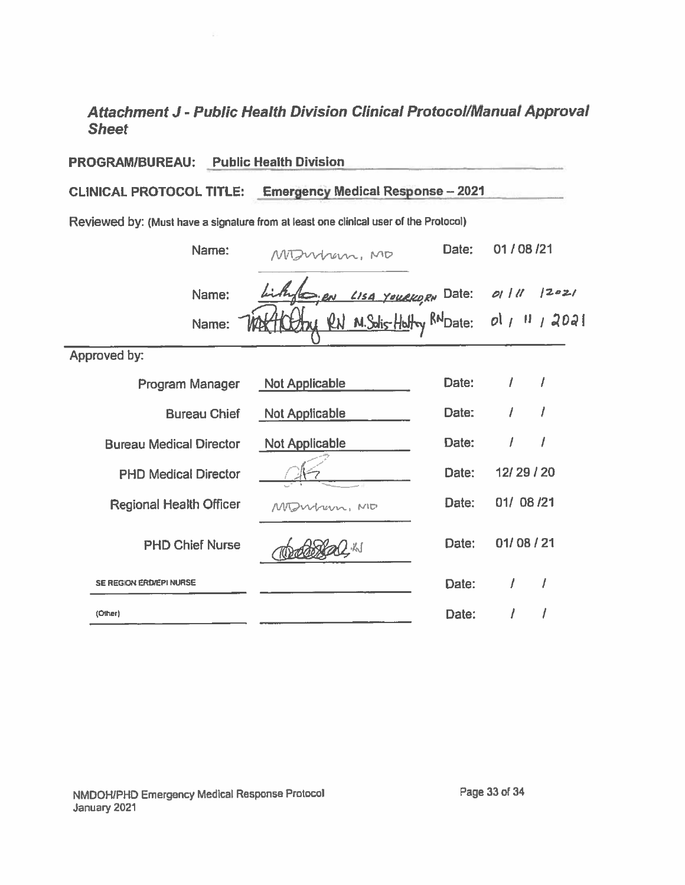## Attachment J - Public Health Division Clinical Protocol/Manual Approval **Sheet**

| <b>PROGRAM/BUREAU:</b>                                                               | <b>Public Health Division</b>              |       |                 |      |  |
|--------------------------------------------------------------------------------------|--------------------------------------------|-------|-----------------|------|--|
| <b>CLINICAL PROTOCOL TITLE:</b><br><b>Emergency Medical Response-2021</b>            |                                            |       |                 |      |  |
| Reviewed by: (Must have a signature from at least one clinical user of the Protocol) |                                            |       |                 |      |  |
| Name:                                                                                | Montran, MO                                | Date: | 01 / 08 / 21    |      |  |
| Name:                                                                                | <u>Len Lisa Youekorn</u> Date: 01/11 12021 |       |                 |      |  |
| Name:                                                                                | RN M. Solis-Holtry RNDate:                 |       | $ol$ $\mu$ $ll$ | 1202 |  |
| Approved by:                                                                         |                                            |       |                 |      |  |
| Program Manager                                                                      | <b>Not Applicable</b>                      | Date: | $\prime$        | 1    |  |
| <b>Bureau Chief</b>                                                                  | <b>Not Applicable</b>                      | Date: |                 |      |  |
| <b>Bureau Medical Director</b>                                                       | Not Applicable                             | Date: | 1               | 1    |  |
| <b>PHD Medical Director</b>                                                          |                                            | Date: | 12/29/20        |      |  |
| <b>Regional Health Officer</b>                                                       | MDWhern, ND                                | Date: | 01/08/21        |      |  |
| <b>PHD Chief Nurse</b>                                                               | 从                                          | Date: | 01/08/21        |      |  |
| SE REGION ERD/EPI NURSE                                                              |                                            | Date: | I               |      |  |
| (Other)                                                                              |                                            | Date: |                 |      |  |